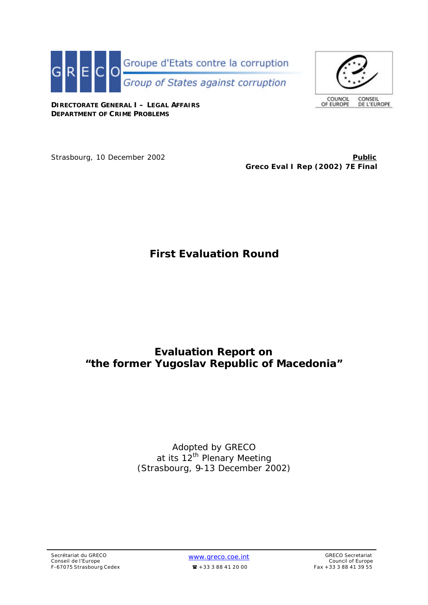



**DIRECTORATE GENERAL I – LEGAL AFFAIRS DEPARTMENT OF CRIME PROBLEMS**

Strasbourg, 10 December 2002 **Public Public Public Public Public Public Public Greco Eval I Rep (2002) 7E Final**

# **First Evaluation Round**

# **Evaluation Report on "the former Yugoslav Republic of Macedonia"**

# Adopted by GRECO at its 12<sup>th</sup> Plenary Meeting (Strasbourg, 9-13 December 2002)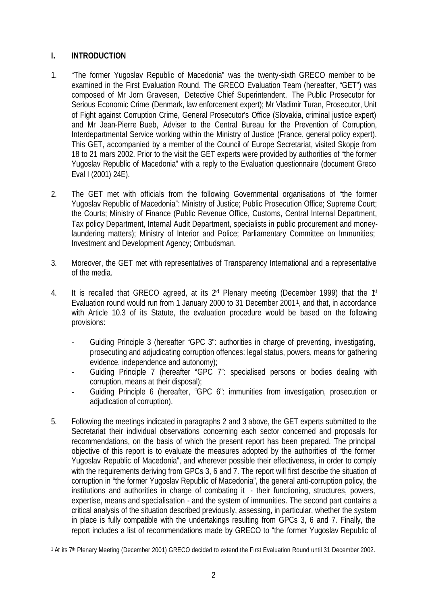# **I. INTRODUCTION**

- 1. "The former Yugoslav Republic of Macedonia" was the twenty-sixth GRECO member to be examined in the First Evaluation Round. The GRECO Evaluation Team (hereafter, "GET") was composed of Mr Jorn Gravesen, Detective Chief Superintendent, The Public Prosecutor for Serious Economic Crime (Denmark, law enforcement expert); Mr Vladimir Turan, Prosecutor, Unit of Fight against Corruption Crime, General Prosecutor's Office (Slovakia, criminal justice expert) and Mr Jean-Pierre Bueb, Adviser to the Central Bureau for the Prevention of Corruption, Interdepartmental Service working within the Ministry of Justice (France, general policy expert). This GET, accompanied by a member of the Council of Europe Secretariat, visited Skopje from 18 to 21 mars 2002. Prior to the visit the GET experts were provided by authorities of "the former Yugoslav Republic of Macedonia" with a reply to the Evaluation questionnaire (document Greco Eval I (2001) 24E).
- 2. The GET met with officials from the following Governmental organisations of "the former Yugoslav Republic of Macedonia": Ministry of Justice; Public Prosecution Office; Supreme Court; the Courts; Ministry of Finance (Public Revenue Office, Customs, Central Internal Department, Tax policy Department, Internal Audit Department, specialists in public procurement and moneylaundering matters); Ministry of Interior and Police; Parliamentary Committee on Immunities; Investment and Development Agency; Ombudsman.
- 3. Moreover, the GET met with representatives of Transparency International and a representative of the media.
- 4. It is recalled that GRECO agreed, at its  $2<sup>d</sup>$  Plenary meeting (December 1999) that the  $I<sup>t</sup>$ Evaluation round would run from 1 January 2000 to 31 December 2001<sup>1</sup> , and that, in accordance with Article 10.3 of its Statute, the evaluation procedure would be based on the following provisions:
	- Guiding Principle 3 (hereafter "GPC 3": authorities in charge of preventing, investigating, prosecuting and adjudicating corruption offences: legal status, powers, means for gathering evidence, independence and autonomy);
	- Guiding Principle 7 (hereafter "GPC 7": specialised persons or bodies dealing with corruption, means at their disposal);
	- Guiding Principle 6 (hereafter, "GPC 6": immunities from investigation, prosecution or adjudication of corruption).
- 5. Following the meetings indicated in paragraphs 2 and 3 above, the GET experts submitted to the Secretariat their individual observations concerning each sector concerned and proposals for recommendations, on the basis of which the present report has been prepared. The principal objective of this report is to evaluate the measures adopted by the authorities of "the former Yugoslav Republic of Macedonia", and wherever possible their effectiveness, in order to comply with the requirements deriving from GPCs 3, 6 and 7. The report will first describe the situation of corruption in "the former Yugoslav Republic of Macedonia", the general anti-corruption policy, the institutions and authorities in charge of combating it - their functioning, structures, powers, expertise, means and specialisation - and the system of immunities. The second part contains a critical analysis of the situation described previous ly, assessing, in particular, whether the system in place is fully compatible with the undertakings resulting from GPCs 3, 6 and 7. Finally, the report includes a list of recommendations made by GRECO to "the former Yugoslav Republic of l

<sup>1</sup> At its 7th Plenary Meeting (December 2001) GRECO decided to extend the First Evaluation Round until 31 December 2002.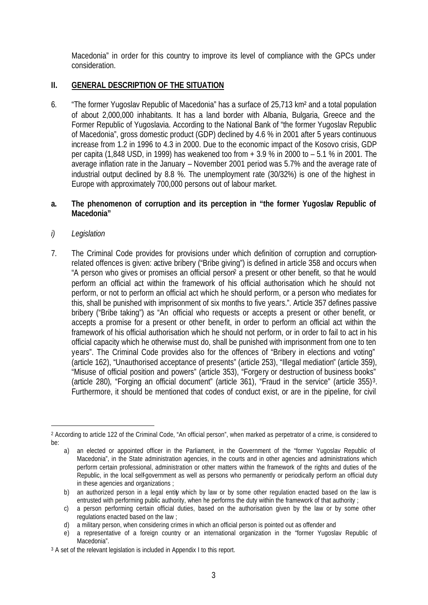Macedonia" in order for this country to improve its level of compliance with the GPCs under consideration.

# **II. GENERAL DESCRIPTION OF THE SITUATION**

6. "The former Yugoslav Republic of Macedonia" has a surface of 25,713 km² and a total population of about 2,000,000 inhabitants. It has a land border with Albania, Bulgaria, Greece and the Former Republic of Yugoslavia. According to the National Bank of "the former Yugoslav Republic of Macedonia", gross domestic product (GDP) declined by 4.6 % in 2001 after 5 years continuous increase from 1.2 in 1996 to 4.3 in 2000. Due to the economic impact of the Kosovo crisis, GDP per capita (1,848 USD, in 1999) has weakened too from + 3.9 % in 2000 to – 5.1 % in 2001. The average inflation rate in the January – November 2001 period was 5.7% and the average rate of industrial output declined by 8.8 %. The unemployment rate (30/32%) is one of the highest in Europe with approximately 700,000 persons out of labour market.

# **a. The phenomenon of corruption and its perception in "the former Yugoslav Republic of Macedonia"**

*i) Legislation*

l

7. The Criminal Code provides for provisions under which definition of corruption and corruptionrelated offences is given: active bribery ("Bribe giving") is defined in article 358 and occurs when "A person who gives or promises an official person<sup>2</sup> a present or other benefit, so that he would perform an official act within the framework of his official authorisation which he should not perform, or not to perform an official act which he should perform, or a person who mediates for this, shall be punished with imprisonment of six months to five years.". Article 357 defines passive bribery ("Bribe taking") as "An official who requests or accepts a present or other benefit, or accepts a promise for a present or other benefit, in order to perform an official act within the framework of his official authorisation which he should not perform, or in order to fail to act in his official capacity which he otherwise must do, shall be punished with imprisonment from one to ten years". The Criminal Code provides also for the offences of "Bribery in elections and voting" (article 162), "Unauthorised acceptance of presents" (article 253), "Illegal mediation" (article 359), "Misuse of official position and powers" (article 353), "Forgery or destruction of business books" (article 280), "Forging an official document" (article 361), "Fraud in the service" (article 355)<sup>3</sup>. Furthermore, it should be mentioned that codes of conduct exist, or are in the pipeline, for civil

<sup>2</sup> According to article 122 of the Criminal Code, "An official person", when marked as perpetrator of a crime, is considered to be:

a) an elected or appointed officer in the Parliament, in the Government of the "former Yugoslav Republic of Macedonia", in the State administration agencies, in the courts and in other agencies and administrations which perform certain professional, administration or other matters within the framework of the rights and duties of the Republic, in the local self-government as well as persons who permanently or periodically perform an official duty in these agencies and organizations ;

b) an authorized person in a legal entity which by law or by some other regulation enacted based on the law is entrusted with performing public authority, when he performs the duty within the framework of that authority ;

c) a person performing certain official duties, based on the authorisation given by the law or by some other regulations enacted based on the law ;

d) a military person, when considering crimes in which an official person is pointed out as offender and

e) a representative of a foreign country or an international organization in the "former Yugoslav Republic of Macedonia".

<sup>3</sup> A set of the relevant legislation is included in Appendix I to this report.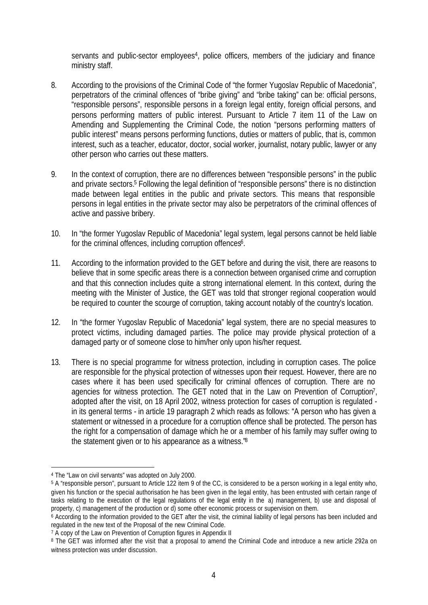servants and public-sector employees<sup>4</sup>, police officers, members of the judiciary and finance ministry staff.

- 8. According to the provisions of the Criminal Code of "the former Yugoslav Republic of Macedonia", perpetrators of the criminal offences of "bribe giving" and "bribe taking" can be: official persons, "responsible persons", responsible persons in a foreign legal entity, foreign official persons, and persons performing matters of public interest. Pursuant to Article 7 item 11 of the Law on Amending and Supplementing the Criminal Code, the notion "persons performing matters of public interest" means persons performing functions, duties or matters of public, that is, common interest, such as a teacher, educator, doctor, social worker, journalist, notary public, lawyer or any other person who carries out these matters.
- 9. In the context of corruption, there are no differences between "responsible persons" in the public and private sectors.<sup>5</sup> Following the legal definition of "responsible persons" there is no distinction made between legal entities in the public and private sectors. This means that responsible persons in legal entities in the private sector may also be perpetrators of the criminal offences of active and passive bribery.
- 10. In "the former Yugoslav Republic of Macedonia" legal system, legal persons cannot be held liable for the criminal offences, including corruption offences<sup>6</sup>.
- 11. According to the information provided to the GET before and during the visit, there are reasons to believe that in some specific areas there is a connection between organised crime and corruption and that this connection includes quite a strong international element. In this context, during the meeting with the Minister of Justice, the GET was told that stronger regional cooperation would be required to counter the scourge of corruption, taking account notably of the country's location.
- 12. In "the former Yugoslav Republic of Macedonia" legal system, there are no special measures to protect victims, including damaged parties. The police may provide physical protection of a damaged party or of someone close to him/her only upon his/her request.
- 13. There is no special programme for witness protection, including in corruption cases. The police are responsible for the physical protection of witnesses upon their request. However, there are no cases where it has been used specifically for criminal offences of corruption. There are no agencies for witness protection. The GET noted that in the Law on Prevention of Corruption<sup>7</sup>, adopted after the visit, on 18 April 2002, witness protection for cases of corruption is regulated in its general terms - in article 19 paragraph 2 which reads as follows: "A person who has given a statement or witnessed in a procedure for a corruption offence shall be protected. The person has the right for a compensation of damage which he or a member of his family may suffer owing to the statement given or to his appearance as a witness."<sup>8</sup>

<sup>4</sup> The "Law on civil servants" was adopted on July 2000.

<sup>5</sup> A "responsible person", pursuant to Article 122 item 9 of the CC, is considered to be a person working in a legal entity who, given his function or the special authorisation he has been given in the legal entity, has been entrusted with certain range of tasks relating to the execution of the legal regulations of the legal entity in the a) management, b) use and disposal of property, c) management of the production or d) some other economic process or supervision on them.

<sup>6</sup> According to the information provided to the GET after the visit, the criminal liability of legal persons has been included and regulated in the new text of the Proposal of the new Criminal Code.

<sup>&</sup>lt;sup>7</sup> A copy of the Law on Prevention of Corruption figures in Appendix II

<sup>8</sup> The GET was informed after the visit that a proposal to amend the Criminal Code and introduce a new article 292a on witness protection was under discussion.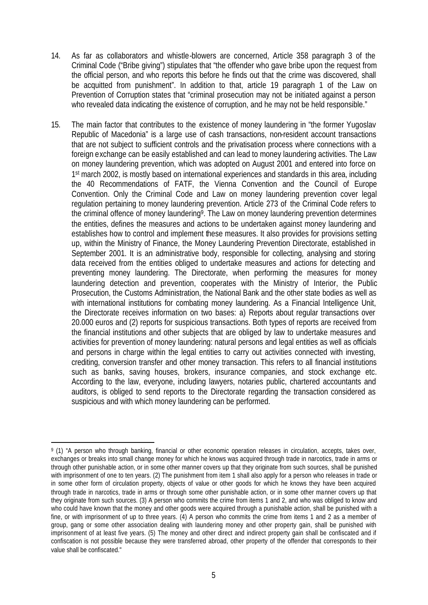- 14. As far as collaborators and whistle-blowers are concerned, Article 358 paragraph 3 of the Criminal Code ("Bribe giving") stipulates that "the offender who gave bribe upon the request from the official person, and who reports this before he finds out that the crime was discovered, shall be acquitted from punishment". In addition to that, article 19 paragraph 1 of the Law on Prevention of Corruption states that "criminal prosecution may not be initiated against a person who revealed data indicating the existence of corruption, and he may not be held responsible."
- 15. The main factor that contributes to the existence of money laundering in "the former Yugoslav Republic of Macedonia" is a large use of cash transactions, non-resident account transactions that are not subject to sufficient controls and the privatisation process where connections with a foreign exchange can be easily established and can lead to money laundering activities. The Law on money laundering prevention, which was adopted on August 2001 and entered into force on 1<sup>st</sup> march 2002, is mostly based on international experiences and standards in this area, including the 40 Recommendations of FATF, the Vienna Convention and the Council of Europe Convention. Only the Criminal Code and Law on money laundering prevention cover legal regulation pertaining to money laundering prevention. Article 273 of the Criminal Code refers to the criminal offence of money laundering<sup>9</sup>. The Law on money laundering prevention determines the entities, defines the measures and actions to be undertaken against money laundering and establishes how to control and implement these measures. It also provides for provisions setting up, within the Ministry of Finance, the Money Laundering Prevention Directorate, established in September 2001. It is an administrative body, responsible for collecting, analysing and storing data received from the entities obliged to undertake measures and actions for detecting and preventing money laundering. The Directorate, when performing the measures for money laundering detection and prevention, cooperates with the Ministry of Interior, the Public Prosecution, the Customs Administration, the National Bank and the other state bodies as well as with international institutions for combating money laundering. As a Financial Intelligence Unit, the Directorate receives information on two bases: a) Reports about regular transactions over 20.000 euros and (2) reports for suspicious transactions. Both types of reports are received from the financial institutions and other subjects that are obliged by law to undertake measures and activities for prevention of money laundering: natural persons and legal entities as well as officials and persons in charge within the legal entities to carry out activities connected with investing, crediting, conversion transfer and other money transaction. This refers to all financial institutions such as banks, saving houses, brokers, insurance companies, and stock exchange etc. According to the law, everyone, including lawyers, notaries public, chartered accountants and auditors, is obliged to send reports to the Directorate regarding the transaction considered as suspicious and with which money laundering can be performed.

<sup>9</sup> (1) "A person who through banking, financial or other economic operation releases in circulation, accepts, takes over, exchanges or breaks into small change money for which he knows was acquired through trade in narcotics, trade in arms or through other punishable action, or in some other manner covers up that they originate from such sources, shall be punished with imprisonment of one to ten years. (2) The punishment from item 1 shall also apply for a person who releases in trade or in some other form of circulation property, objects of value or other goods for which he knows they have been acquired through trade in narcotics, trade in arms or through some other punishable action, or in some other manner covers up that they originate from such sources. (3) A person who commits the crime from items 1 and 2, and who was obliged to know and who could have known that the money and other goods were acquired through a punishable action, shall be punished with a fine, or with imprisonment of up to three years. (4) A person who commits the crime from items 1 and 2 as a member of group, gang or some other association dealing with laundering money and other property gain, shall be punished with imprisonment of at least five years. (5) The money and other direct and indirect property gain shall be confiscated and if confiscation is not possible because they were transferred abroad, other property of the offender that corresponds to their value shall be confiscated."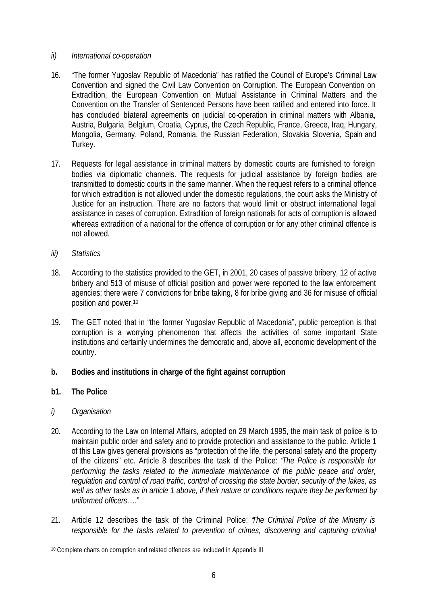# *ii) International co-operation*

- 16. "The former Yugoslav Republic of Macedonia" has ratified the Council of Europe's Criminal Law Convention and signed the Civil Law Convention on Corruption. The European Convention on Extradition, the European Convention on Mutual Assistance in Criminal Matters and the Convention on the Transfer of Sentenced Persons have been ratified and entered into force. It has concluded bilateral agreements on judicial co-operation in criminal matters with Albania, Austria, Bulgaria, Belgium, Croatia, Cyprus, the Czech Republic, France, Greece, Iraq, Hungary, Mongolia, Germany, Poland, Romania, the Russian Federation, Slovakia Slovenia, Spain and Turkey.
- 17. Requests for legal assistance in criminal matters by domestic courts are furnished to foreign bodies via diplomatic channels. The requests for judicial assistance by foreign bodies are transmitted to domestic courts in the same manner. When the request refers to a criminal offence for which extradition is not allowed under the domestic regulations, the court asks the Ministry of Justice for an instruction. There are no factors that would limit or obstruct international legal assistance in cases of corruption. Extradition of foreign nationals for acts of corruption is allowed whereas extradition of a national for the offence of corruption or for any other criminal offence is not allowed.
- *iii) Statistics*
- 18. According to the statistics provided to the GET, in 2001, 20 cases of passive bribery, 12 of active bribery and 513 of misuse of official position and power were reported to the law enforcement agencies; there were 7 convictions for bribe taking, 8 for bribe giving and 36 for misuse of official position and power.<sup>10</sup>
- 19. The GET noted that in "the former Yugoslav Republic of Macedonia", public perception is that corruption is a worrying phenomenon that affects the activities of some important State institutions and certainly undermines the democratic and, above all, economic development of the country.

# **b. Bodies and institutions in charge of the fight against corruption**

# **b1. The Police**

*i) Organisation*

- 20. According to the Law on Internal Affairs, adopted on 29 March 1995, the main task of police is to maintain public order and safety and to provide protection and assistance to the public. Article 1 of this Law gives general provisions as "protection of the life, the personal safety and the property of the citizens" etc. Article 8 describes the task of the Police: "*The Police is responsible for performing the tasks related to the immediate maintenance of the public peace and order, regulation and control of road traffic, control of crossing the state border, security of the lakes, as well as other tasks as in article 1 above, if their nature or conditions require they be performed by uniformed officers*…."
- 21. Article 12 describes the task of the Criminal Police: "*The Criminal Police of the Ministry is responsible for the tasks related to prevention of crimes, discovering and capturing criminal*

<sup>10</sup> Complete charts on corruption and related offences are included in Appendix III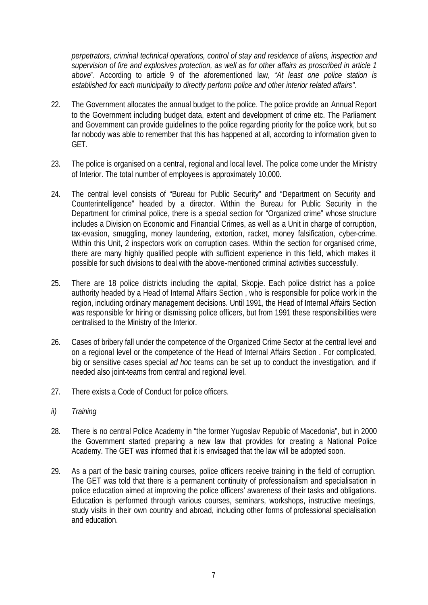*perpetrators, criminal technical operations, control of stay and residence of aliens, inspection and supervision of fire and explosives protection, as well as for other affairs as proscribed in article 1 above*". According to article 9 of the aforementioned law, "*At least one police station is established for each municipality to directly perform police and other interior related affairs*".

- 22. The Government allocates the annual budget to the police. The police provide an Annual Report to the Government including budget data, extent and development of crime etc. The Parliament and Government can provide guidelines to the police regarding priority for the police work, but so far nobody was able to remember that this has happened at all, according to information given to GET.
- 23. The police is organised on a central, regional and local level. The police come under the Ministry of Interior. The total number of employees is approximately 10,000.
- 24. The central level consists of "Bureau for Public Security" and "Department on Security and Counterintelligence" headed by a director. Within the Bureau for Public Security in the Department for criminal police, there is a special section for "Organized crime" whose structure includes a Division on Economic and Financial Crimes, as well as a Unit in charge of corruption, tax-evasion, smuggling, money laundering, extortion, racket, money falsification, cyber-crime. Within this Unit, 2 inspectors work on corruption cases. Within the section for organised crime, there are many highly qualified people with sufficient experience in this field, which makes it possible for such divisions to deal with the above-mentioned criminal activities successfully.
- 25. There are 18 police districts including the capital, Skopje. Each police district has a police authority headed by a Head of Internal Affairs Section , who is responsible for police work in the region, including ordinary management decisions. Until 1991, the Head of Internal Affairs Section was responsible for hiring or dismissing police officers, but from 1991 these responsibilities were centralised to the Ministry of the Interior.
- 26. Cases of bribery fall under the competence of the Organized Crime Sector at the central level and on a regional level or the competence of the Head of Internal Affairs Section . For complicated, big or sensitive cases special *ad hoc* teams can be set up to conduct the investigation, and if needed also joint-teams from central and regional level.
- 27. There exists a Code of Conduct for police officers.
- *ii) Training*
- 28. There is no central Police Academy in "the former Yugoslav Republic of Macedonia", but in 2000 the Government started preparing a new law that provides for creating a National Police Academy. The GET was informed that it is envisaged that the law will be adopted soon.
- 29. As a part of the basic training courses, police officers receive training in the field of corruption. The GET was told that there is a permanent continuity of professionalism and specialisation in police education aimed at improving the police officers' awareness of their tasks and obligations. Education is performed through various courses, seminars, workshops, instructive meetings, study visits in their own country and abroad, including other forms of professional specialisation and education.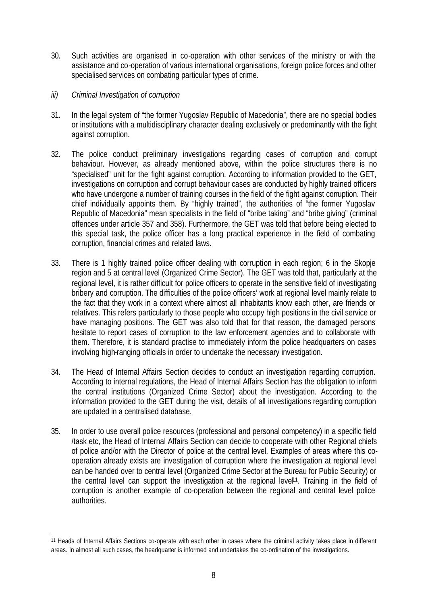- 30. Such activities are organised in co-operation with other services of the ministry or with the assistance and co-operation of various international organisations, foreign police forces and other specialised services on combating particular types of crime.
- *iii) Criminal Investigation of corruption*

- 31. In the legal system of "the former Yugoslav Republic of Macedonia", there are no special bodies or institutions with a multidisciplinary character dealing exclusively or predominantly with the fight against corruption.
- 32. The police conduct preliminary investigations regarding cases of corruption and corrupt behaviour. However, as already mentioned above, within the police structures there is no "specialised" unit for the fight against corruption. According to information provided to the GET, investigations on corruption and corrupt behaviour cases are conducted by highly trained officers who have undergone a number of training courses in the field of the fight against corruption. Their chief individually appoints them. By "highly trained", the authorities of "the former Yugoslav Republic of Macedonia" mean specialists in the field of "bribe taking" and "bribe giving" (criminal offences under article 357 and 358). Furthermore, the GET was told that before being elected to this special task, the police officer has a long practical experience in the field of combating corruption, financial crimes and related laws.
- 33. There is 1 highly trained police officer dealing with corruption in each region; 6 in the Skopje region and 5 at central level (Organized Crime Sector). The GET was told that, particularly at the regional level, it is rather difficult for police officers to operate in the sensitive field of investigating bribery and corruption. The difficulties of the police officers' work at regional level mainly relate to the fact that they work in a context where almost all inhabitants know each other, are friends or relatives. This refers particularly to those people who occupy high positions in the civil service or have managing positions. The GET was also told that for that reason, the damaged persons hesitate to report cases of corruption to the law enforcement agencies and to collaborate with them. Therefore, it is standard practise to immediately inform the police headquarters on cases involving high-ranging officials in order to undertake the necessary investigation.
- 34. The Head of Internal Affairs Section decides to conduct an investigation regarding corruption. According to internal regulations, the Head of Internal Affairs Section has the obligation to inform the central institutions (Organized Crime Sector) about the investigation. According to the information provided to the GET during the visit, details of all investigations regarding corruption are updated in a centralised database.
- 35. In order to use overall police resources (professional and personal competency) in a specific field /task etc, the Head of Internal Affairs Section can decide to cooperate with other Regional chiefs of police and/or with the Director of police at the central level. Examples of areas where this cooperation already exists are investigation of corruption where the investigation at regional level can be handed over to central level (Organized Crime Sector at the Bureau for Public Security) or the central level can support the investigation at the regional leve<sup>[1]</sup>. Training in the field of corruption is another example of co-operation between the regional and central level police authorities.

<sup>11</sup> Heads of Internal Affairs Sections co-operate with each other in cases where the criminal activity takes place in different areas. In almost all such cases, the headquarter is informed and undertakes the co-ordination of the investigations.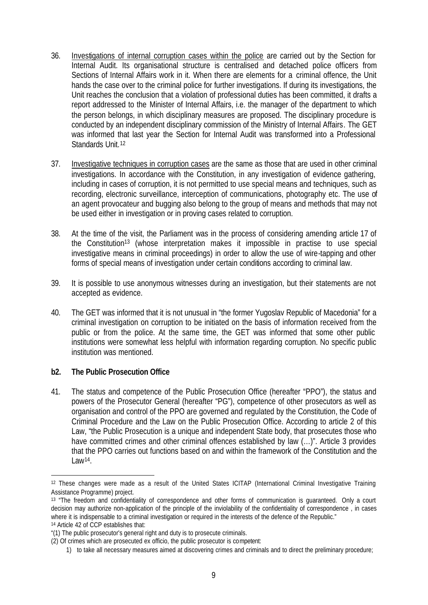- 36. Investigations of internal corruption cases within the police are carried out by the Section for Internal Audit. Its organisational structure is centralised and detached police officers from Sections of Internal Affairs work in it. When there are elements for a criminal offence, the Unit hands the case over to the criminal police for further investigations. If during its investigations, the Unit reaches the conclusion that a violation of professional duties has been committed, it drafts a report addressed to the Minister of Internal Affairs, i.e. the manager of the department to which the person belongs, in which disciplinary measures are proposed. The disciplinary procedure is conducted by an independent disciplinary commission of the Ministry of Internal Affairs. The GET was informed that last year the Section for Internal Audit was transformed into a Professional Standards Unit.<sup>12</sup>
- 37. Investigative techniques in corruption cases are the same as those that are used in other criminal investigations. In accordance with the Constitution, in any investigation of evidence gathering, including in cases of corruption, it is not permitted to use special means and techniques, such as recording, electronic surveillance, interception of communications, photography etc. The use of an agent provocateur and bugging also belong to the group of means and methods that may not be used either in investigation or in proving cases related to corruption.
- 38. At the time of the visit, the Parliament was in the process of considering amending article 17 of the Constitution13 (whose interpretation makes it impossible in practise to use special investigative means in criminal proceedings) in order to allow the use of wire-tapping and other forms of special means of investigation under certain conditions according to criminal law.
- 39. It is possible to use anonymous witnesses during an investigation, but their statements are not accepted as evidence.
- 40. The GET was informed that it is not unusual in "the former Yugoslav Republic of Macedonia" for a criminal investigation on corruption to be initiated on the basis of information received from the public or from the police. At the same time, the GET was informed that some other public institutions were somewhat less helpful with information regarding corruption. No specific public institution was mentioned.

# **b2. The Public Prosecution Office**

41. The status and competence of the Public Prosecution Office (hereafter "PPO"), the status and powers of the Prosecutor General (hereafter "PG"), competence of other prosecutors as well as organisation and control of the PPO are governed and regulated by the Constitution, the Code of Criminal Procedure and the Law on the Public Prosecution Office. According to article 2 of this Law, "the Public Prosecution is a unique and independent State body, that prosecutes those who have committed crimes and other criminal offences established by law (...)". Article 3 provides that the PPO carries out functions based on and within the framework of the Constitution and the Law<sup>14</sup>.

<sup>12</sup> These changes were made as a result of the United States ICITAP (International Criminal Investigative Training Assistance Programme) project.

<sup>&</sup>lt;sup>13</sup> "The freedom and confidentiality of correspondence and other forms of communication is guaranteed. Only a court decision may authorize non-application of the principle of the inviolability of the confidentiality of correspondence , in cases where it is indispensable to a criminal investigation or required in the interests of the defence of the Republic."

<sup>14</sup> Article 42 of CCP establishes that:

<sup>&</sup>quot;(1) The public prosecutor's general right and duty is to prosecute criminals.

<sup>(2)</sup> Of crimes which are prosecuted ex officio, the public prosecutor is competent:

<sup>1)</sup> to take all necessary measures aimed at discovering crimes and criminals and to direct the preliminary procedure;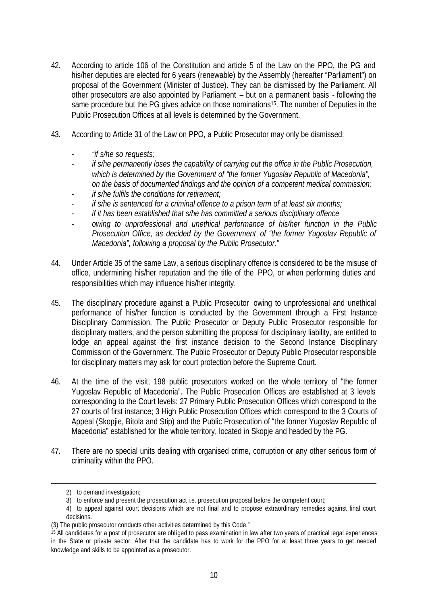- 42. According to article 106 of the Constitution and article 5 of the Law on the PPO, the PG and his/her deputies are elected for 6 years (renewable) by the Assembly (hereafter "Parliament") on proposal of the Government (Minister of Justice). They can be dismissed by the Parliament. All other prosecutors are also appointed by Parliament – but on a permanent basis - following the same procedure but the PG gives advice on those nominations<sup>15</sup>. The number of Deputies in the Public Prosecution Offices at all levels is determined by the Government.
- 43. According to Article 31 of the Law on PPO, a Public Prosecutor may only be dismissed:
	- *- "if s/he so requests;*
	- *- if s/he permanently loses the capability of carrying out the office in the Public Prosecution, which is determined by the Government of "the former Yugoslav Republic of Macedonia", on the basis of documented findings and the opinion of a competent medical commission;*
	- *- if s/he fulfils the conditions for retirement;*
	- *- if s/he is sentenced for a criminal offence to a prison term of at least six months;*
	- *- if it has been established that s/he has committed a serious disciplinary offence*
	- *- owing to unprofessional and unethical performance of his/her function in the Public Prosecution Office, as decided by the Government of "the former Yugoslav Republic of Macedonia", following a proposal by the Public Prosecutor."*
- 44. Under Article 35 of the same Law, a serious disciplinary offence is considered to be the misuse of office, undermining his/her reputation and the title of the PPO, or when performing duties and responsibilities which may influence his/her integrity.
- 45. The disciplinary procedure against a Public Prosecutor owing to unprofessional and unethical performance of his/her function is conducted by the Government through a First Instance Disciplinary Commission. The Public Prosecutor or Deputy Public Prosecutor responsible for disciplinary matters, and the person submitting the proposal for disciplinary liability, are entitled to lodge an appeal against the first instance decision to the Second Instance Disciplinary Commission of the Government. The Public Prosecutor or Deputy Public Prosecutor responsible for disciplinary matters may ask for court protection before the Supreme Court.
- 46. At the time of the visit, 198 public prosecutors worked on the whole territory of "the former Yugoslav Republic of Macedonia". The Public Prosecution Offices are established at 3 levels corresponding to the Court levels: 27 Primary Public Prosecution Offices which correspond to the 27 courts of first instance; 3 High Public Prosecution Offices which correspond to the 3 Courts of Appeal (Skopjie, Bitola and Stip) and the Public Prosecution of "the former Yugoslav Republic of Macedonia" established for the whole territory, located in Skopje and headed by the PG.
- 47. There are no special units dealing with organised crime, corruption or any other serious form of criminality within the PPO.

<sup>2)</sup> to demand investigation;

<sup>3)</sup> to enforce and present the prosecution act i.e. prosecution proposal before the competent court:

<sup>4)</sup> to appeal against court decisions which are not final and to propose extraordinary remedies against final court decisions.

<sup>(3)</sup> The public prosecutor conducts other activities determined by this Code."

<sup>&</sup>lt;sup>15</sup> All candidates for a post of prosecutor are obliged to pass examination in law after two years of practical legal experiences in the State or private sector. After that the candidate has to work for the PPO for at least three years to get needed knowledge and skills to be appointed as a prosecutor.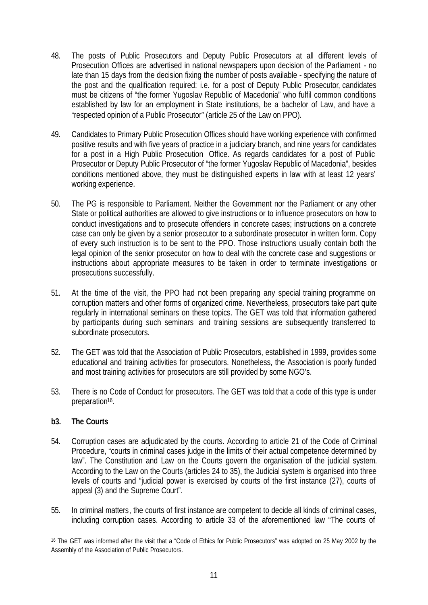- 48. The posts of Public Prosecutors and Deputy Public Prosecutors at all different levels of Prosecution Offices are advertised in national newspapers upon decision of the Parliament - no late than 15 days from the decision fixing the number of posts available - specifying the nature of the post and the qualification required: i.e. for a post of Deputy Public Prosecutor, candidates must be citizens of "the former Yugoslav Republic of Macedonia" who fulfil common conditions established by law for an employment in State institutions, be a bachelor of Law, and have a "respected opinion of a Public Prosecutor" (article 25 of the Law on PPO).
- 49. Candidates to Primary Public Prosecution Offices should have working experience with confirmed positive results and with five years of practice in a judiciary branch, and nine years for candidates for a post in a High Public Prosecution Office. As regards candidates for a post of Public Prosecutor or Deputy Public Prosecutor of "the former Yugoslav Republic of Macedonia", besides conditions mentioned above, they must be distinguished experts in law with at least 12 years' working experience.
- 50. The PG is responsible to Parliament. Neither the Government nor the Parliament or any other State or political authorities are allowed to give instructions or to influence prosecutors on how to conduct investigations and to prosecute offenders in concrete cases; instructions on a concrete case can only be given by a senior prosecutor to a subordinate prosecutor in written form. Copy of every such instruction is to be sent to the PPO. Those instructions usually contain both the legal opinion of the senior prosecutor on how to deal with the concrete case and suggestions or instructions about appropriate measures to be taken in order to terminate investigations or prosecutions successfully.
- 51. At the time of the visit, the PPO had not been preparing any special training programme on corruption matters and other forms of organized crime. Nevertheless, prosecutors take part quite regularly in international seminars on these topics. The GET was told that information gathered by participants during such seminars and training sessions are subsequently transferred to subordinate prosecutors.
- 52. The GET was told that the Association of Public Prosecutors, established in 1999, provides some educational and training activities for prosecutors. Nonetheless, the Association is poorly funded and most training activities for prosecutors are still provided by some NGO's.
- 53. There is no Code of Conduct for prosecutors. The GET was told that a code of this type is under preparation<sup>16</sup>.

# **b3. The Courts**

- 54. Corruption cases are adjudicated by the courts. According to article 21 of the Code of Criminal Procedure, "courts in criminal cases judge in the limits of their actual competence determined by law". The Constitution and Law on the Courts govern the organisation of the judicial system. According to the Law on the Courts (articles 24 to 35), the Judicial system is organised into three levels of courts and "judicial power is exercised by courts of the first instance (27), courts of appeal (3) and the Supreme Court".
- 55. In criminal matters, the courts of first instance are competent to decide all kinds of criminal cases, including corruption cases. According to article 33 of the aforementioned law "The courts of

l <sup>16</sup> The GET was informed after the visit that a "Code of Ethics for Public Prosecutors" was adopted on 25 May 2002 by the Assembly of the Association of Public Prosecutors.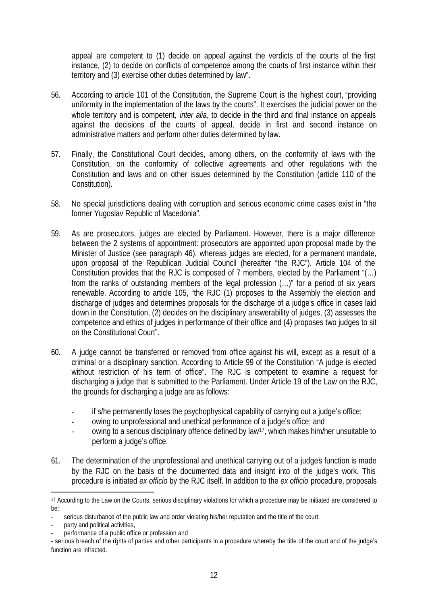appeal are competent to (1) decide on appeal against the verdicts of the courts of the first instance, (2) to decide on conflicts of competence among the courts of first instance within their territory and (3) exercise other duties determined by law".

- 56. According to article 101 of the Constitution, the Supreme Court is the highest court, "providing uniformity in the implementation of the laws by the courts". It exercises the judicial power on the whole territory and is competent, *inter alia*, to decide in the third and final instance on appeals against the decisions of the courts of appeal, decide in first and second instance on administrative matters and perform other duties determined by law.
- 57. Finally, the Constitutional Court decides, among others, on the conformity of laws with the Constitution, on the conformity of collective agreements and other regulations with the Constitution and laws and on other issues determined by the Constitution (article 110 of the Constitution).
- 58. No special jurisdictions dealing with corruption and serious economic crime cases exist in "the former Yugoslav Republic of Macedonia".
- 59. As are prosecutors, judges are elected by Parliament. However, there is a major difference between the 2 systems of appointment: prosecutors are appointed upon proposal made by the Minister of Justice (see paragraph 46), whereas judges are elected, for a permanent mandate, upon proposal of the Republican Judicial Council (hereafter "the RJC"). Article 104 of the Constitution provides that the RJC is composed of 7 members, elected by the Parliament "(…) from the ranks of outstanding members of the legal profession (…)" for a period of six years renewable. According to article 105, "the RJC (1) proposes to the Assembly the election and discharge of judges and determines proposals for the discharge of a judge's office in cases laid down in the Constitution, (2) decides on the disciplinary answerability of judges, (3) assesses the competence and ethics of judges in performance of their office and (4) proposes two judges to sit on the Constitutional Court".
- 60. A judge cannot be transferred or removed from office against his will, except as a result of a criminal or a disciplinary sanction. According to Article 99 of the Constitution "A judge is elected without restriction of his term of office". The RJC is competent to examine a request for discharging a judge that is submitted to the Parliament. Under Article 19 of the Law on the RJC, the grounds for discharging a judge are as follows:
	- if s/he permanently loses the psychophysical capability of carrying out a judge's office;
	- owing to unprofessional and unethical performance of a judge's office; and
	- owing to a serious disciplinary offence defined by law<sup>17</sup>, which makes him/her unsuitable to perform a judge's office.
- 61. The determination of the unprofessional and unethical carrying out of a judge's function is made by the RJC on the basis of the documented data and insight into of the judge's work. This procedure is initiated *ex officio* by the RJC itself. In addition to the *ex officio* procedure, proposals

l

performance of a public office or profession and

<sup>17</sup> According to the Law on the Courts, serious disciplinary violations for which a procedure may be initiated are considered to be:

serious disturbance of the public law and order violating his/her reputation and the title of the court,

party and political activities,

<sup>-</sup> serious breach of the rights of parties and other participants in a procedure whereby the title of the court and of the judge's function are infracted.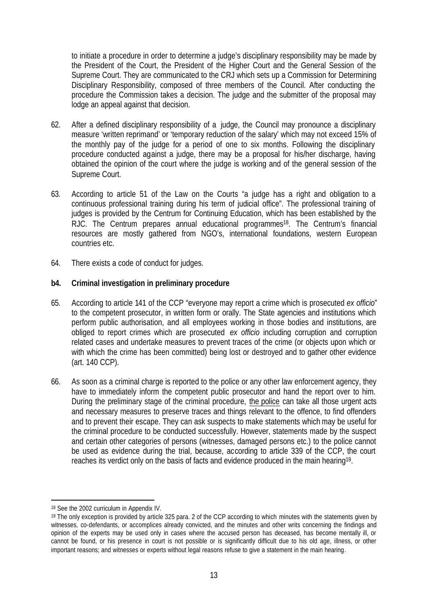to initiate a procedure in order to determine a judge's disciplinary responsibility may be made by the President of the Court, the President of the Higher Court and the General Session of the Supreme Court. They are communicated to the CRJ which sets up a Commission for Determining Disciplinary Responsibility, composed of three members of the Council. After conducting the procedure the Commission takes a decision. The judge and the submitter of the proposal may lodge an appeal against that decision.

- 62. After a defined disciplinary responsibility of a judge, the Council may pronounce a disciplinary measure 'written reprimand' or 'temporary reduction of the salary' which may not exceed 15% of the monthly pay of the judge for a period of one to six months. Following the disciplinary procedure conducted against a judge, there may be a proposal for his/her discharge, having obtained the opinion of the court where the judge is working and of the general session of the Supreme Court.
- 63. According to article 51 of the Law on the Courts "a judge has a right and obligation to a continuous professional training during his term of judicial office". The professional training of judges is provided by the Centrum for Continuing Education, which has been established by the RJC. The Centrum prepares annual educational programmes<sup>18</sup>. The Centrum's financial resources are mostly gathered from NGO's, international foundations, western European countries etc.
- 64. There exists a code of conduct for judges.

# **b4. Criminal investigation in preliminary procedure**

- 65. According to article 141 of the CCP "everyone may report a crime which is prosecuted *ex officio*" to the competent prosecutor, in written form or orally. The State agencies and institutions which perform public authorisation, and all employees working in those bodies and institutions, are obliged to report crimes which are prosecuted *ex officio* including corruption and corruption related cases and undertake measures to prevent traces of the crime (or objects upon which or with which the crime has been committed) being lost or destroyed and to gather other evidence (art. 140 CCP).
- 66. As soon as a criminal charge is reported to the police or any other law enforcement agency, they have to immediately inform the competent public prosecutor and hand the report over to him. During the preliminary stage of the criminal procedure, the police can take all those urgent acts and necessary measures to preserve traces and things relevant to the offence, to find offenders and to prevent their escape. They can ask suspects to make statements which may be useful for the criminal procedure to be conducted successfully. However, statements made by the suspect and certain other categories of persons (witnesses, damaged persons etc.) to the police cannot be used as evidence during the trial, because, according to article 339 of the CCP, the court reaches its verdict only on the basis of facts and evidence produced in the main hearing<sup>19</sup>.

<sup>18</sup> See the 2002 curriculum in Appendix IV.

<sup>&</sup>lt;sup>19</sup> The only exception is provided by article 325 para. 2 of the CCP according to which minutes with the statements given by witnesses, co-defendants, or accomplices already convicted, and the minutes and other writs concerning the findings and opinion of the experts may be used only in cases where the accused person has deceased, has become mentally ill, or cannot be found, or his presence in court is not possible or is significantly difficult due to his old age, illness, or other important reasons; and witnesses or experts without legal reasons refuse to give a statement in the main hearing.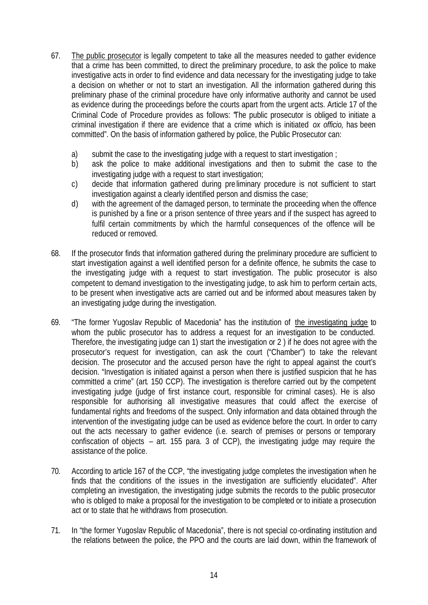- 67. The public prosecutor is legally competent to take all the measures needed to gather evidence that a crime has been committed, to direct the preliminary procedure, to ask the police to make investigative acts in order to find evidence and data necessary for the investigating judge to take a decision on whether or not to start an investigation. All the information gathered during this preliminary phase of the criminal procedure have only informative authority and cannot be used as evidence during the proceedings before the courts apart from the urgent acts. Article 17 of the Criminal Code of Procedure provides as follows: "The public prosecutor is obliged to initiate a criminal investigation if there are evidence that a crime which is initiated *ox officio,* has been committed". On the basis of information gathered by police, the Public Prosecutor can:
	- a) submit the case to the investigating judge with a request to start investigation ;
	- b) ask the police to make additional investigations and then to submit the case to the investigating judge with a request to start investigation;
	- c) decide that information gathered during pre liminary procedure is not sufficient to start investigation against a clearly identified person and dismiss the case;
	- d) with the agreement of the damaged person, to terminate the proceeding when the offence is punished by a fine or a prison sentence of three years and if the suspect has agreed to fulfil certain commitments by which the harmful consequences of the offence will be reduced or removed.
- 68. If the prosecutor finds that information gathered during the preliminary procedure are sufficient to start investigation against a well identified person for a definite offence, he submits the case to the investigating judge with a request to start investigation. The public prosecutor is also competent to demand investigation to the investigating judge, to ask him to perform certain acts, to be present when investigative acts are carried out and be informed about measures taken by an investigating judge during the investigation.
- 69. "The former Yugoslav Republic of Macedonia" has the institution of the investigating judge to whom the public prosecutor has to address a request for an investigation to be conducted. Therefore, the investigating judge can 1) start the investigation or 2 ) if he does not agree with the prosecutor's request for investigation, can ask the court ("Chamber") to take the relevant decision. The prosecutor and the accused person have the right to appeal against the court's decision. "Investigation is initiated against a person when there is justified suspicion that he has committed a crime" (art. 150 CCP). The investigation is therefore carried out by the competent investigating judge (judge of first instance court, responsible for criminal cases). He is also responsible for authorising all investigative measures that could affect the exercise of fundamental rights and freedoms of the suspect. Only information and data obtained through the intervention of the investigating judge can be used as evidence before the court. In order to carry out the acts necessary to gather evidence (i.e. search of premises or persons or temporary confiscation of objects – art. 155 para. 3 of CCP), the investigating judge may require the assistance of the police.
- 70. According to article 167 of the CCP, "the investigating judge completes the investigation when he finds that the conditions of the issues in the investigation are sufficiently elucidated". After completing an investigation, the investigating judge submits the records to the public prosecutor who is obliged to make a proposal for the investigation to be completed or to initiate a prosecution act or to state that he withdraws from prosecution.
- 71. In "the former Yugoslav Republic of Macedonia", there is not special co-ordinating institution and the relations between the police, the PPO and the courts are laid down, within the framework of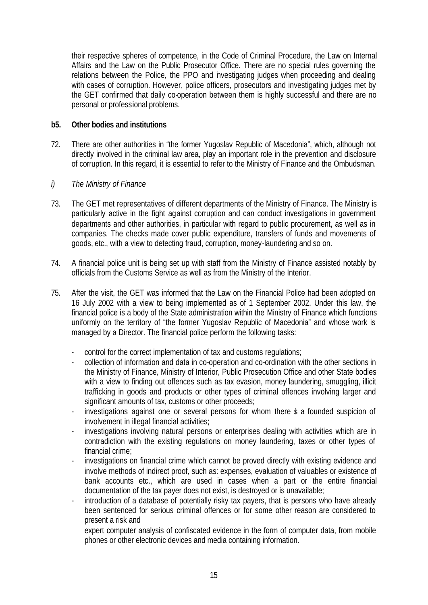their respective spheres of competence, in the Code of Criminal Procedure, the Law on Internal Affairs and the Law on the Public Prosecutor Office. There are no special rules governing the relations between the Police, the PPO and investigating judges when proceeding and dealing with cases of corruption. However, police officers, prosecutors and investigating judges met by the GET confirmed that daily co-operation between them is highly successful and there are no personal or professional problems.

# **b5. Other bodies and institutions**

- 72. There are other authorities in "the former Yugoslav Republic of Macedonia", which, although not directly involved in the criminal law area, play an important role in the prevention and disclosure of corruption. In this regard, it is essential to refer to the Ministry of Finance and the Ombudsman.
- *i) The Ministry of Finance*
- 73. The GET met representatives of different departments of the Ministry of Finance. The Ministry is particularly active in the fight against corruption and can conduct investigations in government departments and other authorities, in particular with regard to public procurement, as well as in companies. The checks made cover public expenditure, transfers of funds and movements of goods, etc., with a view to detecting fraud, corruption, money-laundering and so on.
- 74. A financial police unit is being set up with staff from the Ministry of Finance assisted notably by officials from the Customs Service as well as from the Ministry of the Interior.
- 75. After the visit, the GET was informed that the Law on the Financial Police had been adopted on 16 July 2002 with a view to being implemented as of 1 September 2002. Under this law, the financial police is a body of the State administration within the Ministry of Finance which functions uniformly on the territory of "the former Yugoslav Republic of Macedonia" and whose work is managed by a Director. The financial police perform the following tasks:
	- control for the correct implementation of tax and customs regulations;
	- collection of information and data in co-operation and co-ordination with the other sections in the Ministry of Finance, Ministry of Interior, Public Prosecution Office and other State bodies with a view to finding out offences such as tax evasion, money laundering, smuggling, illicit trafficking in goods and products or other types of criminal offences involving larger and significant amounts of tax, customs or other proceeds;
	- investigations against one or several persons for whom there **i** a founded suspicion of involvement in illegal financial activities;
	- investigations involving natural persons or enterprises dealing with activities which are in contradiction with the existing regulations on money laundering, taxes or other types of financial crime;
	- investigations on financial crime which cannot be proved directly with existing evidence and involve methods of indirect proof, such as: expenses, evaluation of valuables or existence of bank accounts etc., which are used in cases when a part or the entire financial documentation of the tax payer does not exist, is destroyed or is unavailable;
	- introduction of a database of potentially risky tax payers, that is persons who have already been sentenced for serious criminal offences or for some other reason are considered to present a risk and

expert computer analysis of confiscated evidence in the form of computer data, from mobile phones or other electronic devices and media containing information.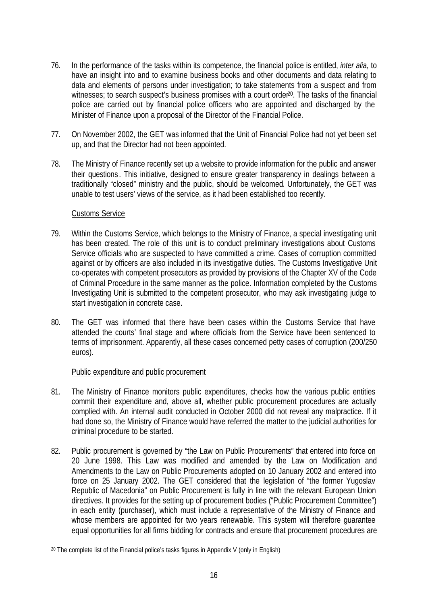- 76. In the performance of the tasks within its competence, the financial police is entitled, *inter alia*, to have an insight into and to examine business books and other documents and data relating to data and elements of persons under investigation; to take statements from a suspect and from witnesses; to search suspect's business promises with a court order<sup>20</sup>. The tasks of the financial police are carried out by financial police officers who are appointed and discharged by the Minister of Finance upon a proposal of the Director of the Financial Police.
- 77. On November 2002, the GET was informed that the Unit of Financial Police had not yet been set up, and that the Director had not been appointed.
- 78. The Ministry of Finance recently set up a website to provide information for the public and answer their questions . This initiative, designed to ensure greater transparency in dealings between a traditionally "closed" ministry and the public, should be welcomed*.* Unfortunately, the GET was unable to test users' views of the service, as it had been established too recently.

# Customs Service

l

- 79. Within the Customs Service, which belongs to the Ministry of Finance, a special investigating unit has been created. The role of this unit is to conduct preliminary investigations about Customs Service officials who are suspected to have committed a crime. Cases of corruption committed against or by officers are also included in its investigative duties. The Customs Investigative Unit co-operates with competent prosecutors as provided by provisions of the Chapter XV of the Code of Criminal Procedure in the same manner as the police. Information completed by the Customs Investigating Unit is submitted to the competent prosecutor, who may ask investigating judge to start investigation in concrete case.
- 80. The GET was informed that there have been cases within the Customs Service that have attended the courts' final stage and where officials from the Service have been sentenced to terms of imprisonment. Apparently, all these cases concerned petty cases of corruption (200/250 euros).

# Public expenditure and public procurement

- 81. The Ministry of Finance monitors public expenditures, checks how the various public entities commit their expenditure and, above all, whether public procurement procedures are actually complied with. An internal audit conducted in October 2000 did not reveal any malpractice. If it had done so, the Ministry of Finance would have referred the matter to the judicial authorities for criminal procedure to be started.
- 82. Public procurement is governed by "the Law on Public Procurements" that entered into force on 20 June 1998. This Law was modified and amended by the Law on Modification and Amendments to the Law on Public Procurements adopted on 10 January 2002 and entered into force on 25 January 2002. The GET considered that the legislation of "the former Yugoslav Republic of Macedonia" on Public Procurement is fully in line with the relevant European Union directives. It provides for the setting up of procurement bodies ("Public Procurement Committee") in each entity (purchaser), which must include a representative of the Ministry of Finance and whose members are appointed for two years renewable. This system will therefore guarantee equal opportunities for all firms bidding for contracts and ensure that procurement procedures are

 $20$  The complete list of the Financial police's tasks figures in Appendix V (only in English)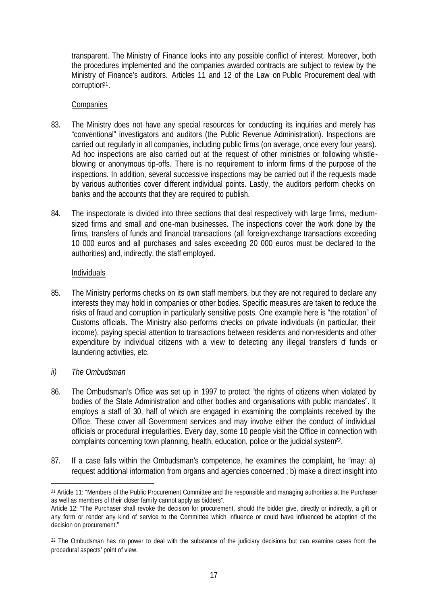transparent. The Ministry of Finance looks into any possible conflict of interest. Moreover, both the procedures implemented and the companies awarded contracts are subject to review by the Ministry of Finance's auditors. Articles 11 and 12 of the Law on Public Procurement deal with corruption<sup>21</sup> .

# Companies

- 83. The Ministry does not have any special resources for conducting its inquiries and merely has "conventional" investigators and auditors (the Public Revenue Administration). Inspections are carried out regularly in all companies, including public firms (on average, once every four years). Ad hoc inspections are also carried out at the request of other ministries or following whistleblowing or anonymous tip-offs. There is no requirement to inform firms of the purpose of the inspections. In addition, several successive inspections may be carried out if the requests made by various authorities cover different individual points. Lastly, the auditors perform checks on banks and the accounts that they are required to publish.
- 84. The inspectorate is divided into three sections that deal respectively with large firms, mediumsized firms and small and one-man businesses. The inspections cover the work done by the firms, transfers of funds and financial transactions (all foreign-exchange transactions exceeding 10 000 euros and all purchases and sales exceeding 20 000 euros must be declared to the authorities) and, indirectly, the staff employed.

# Individuals

85. The Ministry performs checks on its own staff members, but they are not required to declare any interests they may hold in companies or other bodies. Specific measures are taken to reduce the risks of fraud and corruption in particularly sensitive posts. One example here is "the rotation" of Customs officials. The Ministry also performs checks on private individuals (in particular, their income), paying special attention to transactions between residents and non-residents and other expenditure by individual citizens with a view to detecting any illegal transfers of funds or laundering activities, etc.

# *ii) The Ombudsman*

- 86. The Ombudsman's Office was set up in 1997 to protect "the rights of citizens when violated by bodies of the State Administration and other bodies and organisations with public mandates". It employs a staff of 30, half of which are engaged in examining the complaints received by the Office. These cover all Government services and may involve either the conduct of individual officials or procedural irregularities. Every day, some 10 people visit the Office in connection with complaints concerning town planning, health, education, police or the judicial system<sup>22</sup>.
- 87. If a case falls within the Ombudsman's competence, he examines the complaint, he "may: a) request additional information from organs and agencies concerned ; b) make a direct insight into

<sup>21</sup> Article 11: "Members of the Public Procurement Committee and the responsible and managing authorities at the Purchaser as well as members of their closer fami ly cannot apply as bidders".

Article 12: "The Purchaser shall revoke the decision for procurement, should the bidder give, directly or indirectly, a gift or any form or render any kind of service to the Committee which influence or could have influenced the adoption of the decision on procurement."

<sup>&</sup>lt;sup>22</sup> The Ombudsman has no power to deal with the substance of the judiciary decisions but can examine cases from the procedural aspects' point of view.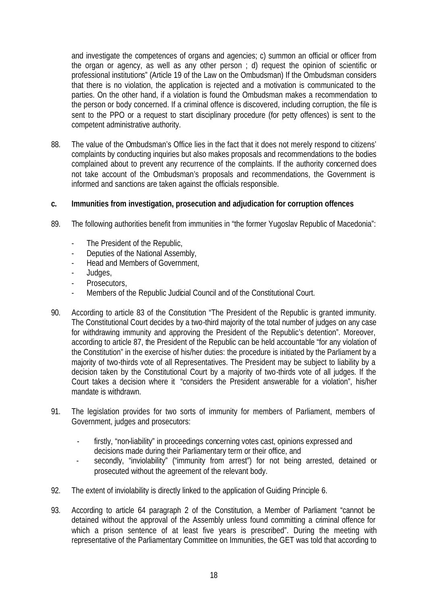and investigate the competences of organs and agencies; c) summon an official or officer from the organ or agency, as well as any other person ; d) request the opinion of scientific or professional institutions" (Article 19 of the Law on the Ombudsman) If the Ombudsman considers that there is no violation, the application is rejected and a motivation is communicated to the parties. On the other hand, if a violation is found the Ombudsman makes a recommendation to the person or body concerned. If a criminal offence is discovered, including corruption, the file is sent to the PPO or a request to start disciplinary procedure (for petty offences) is sent to the competent administrative authority.

88. The value of the Ombudsman's Office lies in the fact that it does not merely respond to citizens' complaints by conducting inquiries but also makes proposals and recommendations to the bodies complained about to prevent any recurrence of the complaints. If the authority concerned does not take account of the Ombudsman's proposals and recommendations, the Government is informed and sanctions are taken against the officials responsible.

# **c. Immunities from investigation, prosecution and adjudication for corruption offences**

- 89. The following authorities benefit from immunities in "the former Yugoslav Republic of Macedonia":
	- The President of the Republic,
	- Deputies of the National Assembly,
	- Head and Members of Government,
	- Judges,
	- Prosecutors,
	- Members of the Republic Judicial Council and of the Constitutional Court.
- 90. According to article 83 of the Constitution "The President of the Republic is granted immunity. The Constitutional Court decides by a two-third majority of the total number of judges on any case for withdrawing immunity and approving the President of the Republic's detention". Moreover, according to article 87, the President of the Republic can be held accountable "for any violation of the Constitution" in the exercise of his/her duties: the procedure is initiated by the Parliament by a majority of two-thirds vote of all Representatives. The President may be subject to liability by a decision taken by the Constitutional Court by a majority of two-thirds vote of all judges. If the Court takes a decision where it "considers the President answerable for a violation", his/her mandate is withdrawn.
- 91. The legislation provides for two sorts of immunity for members of Parliament, members of Government, judges and prosecutors:
	- firstly, "non-liability" in proceedings concerning votes cast, opinions expressed and decisions made during their Parliamentary term or their office, and
	- secondly, "inviolability" ("immunity from arrest") for not being arrested, detained or prosecuted without the agreement of the relevant body.
- 92. The extent of inviolability is directly linked to the application of Guiding Principle 6.
- 93. According to article 64 paragraph 2 of the Constitution, a Member of Parliament "cannot be detained without the approval of the Assembly unless found committing a criminal offence for which a prison sentence of at least five years is prescribed". During the meeting with representative of the Parliamentary Committee on Immunities, the GET was told that according to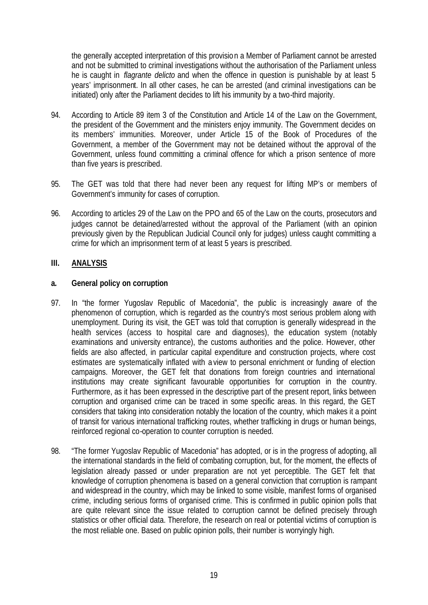the generally accepted interpretation of this provisio n a Member of Parliament cannot be arrested and not be submitted to criminal investigations without the authorisation of the Parliament unless he is caught in *flagrante delicto* and when the offence in question is punishable by at least 5 years' imprisonment. In all other cases, he can be arrested (and criminal investigations can be initiated) only after the Parliament decides to lift his immunity by a two-third majority.

- 94. According to Article 89 item 3 of the Constitution and Article 14 of the Law on the Government, the president of the Government and the ministers enjoy immunity. The Government decides on its members' immunities. Moreover, under Article 15 of the Book of Procedures of the Government, a member of the Government may not be detained without the approval of the Government, unless found committing a criminal offence for which a prison sentence of more than five years is prescribed.
- 95. The GET was told that there had never been any request for lifting MP's or members of Government's immunity for cases of corruption.
- 96. According to articles 29 of the Law on the PPO and 65 of the Law on the courts, prosecutors and judges cannot be detained/arrested without the approval of the Parliament (with an opinion previously given by the Republican Judicial Council only for judges) unless caught committing a crime for which an imprisonment term of at least 5 years is prescribed.

# **III. ANALYSIS**

# **a. General policy on corruption**

- 97. In "the former Yugoslav Republic of Macedonia", the public is increasingly aware of the phenomenon of corruption, which is regarded as the country's most serious problem along with unemployment. During its visit, the GET was told that corruption is generally widespread in the health services (access to hospital care and diagnoses), the education system (notably examinations and university entrance), the customs authorities and the police. However, other fields are also affected, in particular capital expenditure and construction projects, where cost estimates are systematically inflated with a view to personal enrichment or funding of election campaigns. Moreover, the GET felt that donations from foreign countries and international institutions may create significant favourable opportunities for corruption in the country. Furthermore, as it has been expressed in the descriptive part of the present report, links between corruption and organised crime can be traced in some specific areas. In this regard, the GET considers that taking into consideration notably the location of the country, which makes it a point of transit for various international trafficking routes, whether trafficking in drugs or human beings, reinforced regional co-operation to counter corruption is needed.
- 98. "The former Yugoslav Republic of Macedonia" has adopted, or is in the progress of adopting, all the international standards in the field of combating corruption, but, for the moment, the effects of legislation already passed or under preparation are not yet perceptible. The GET felt that knowledge of corruption phenomena is based on a general conviction that corruption is rampant and widespread in the country, which may be linked to some visible, manifest forms of organised crime, including serious forms of organised crime. This is confirmed in public opinion polls that are quite relevant since the issue related to corruption cannot be defined precisely through statistics or other official data. Therefore, the research on real or potential victims of corruption is the most reliable one. Based on public opinion polls, their number is worryingly high.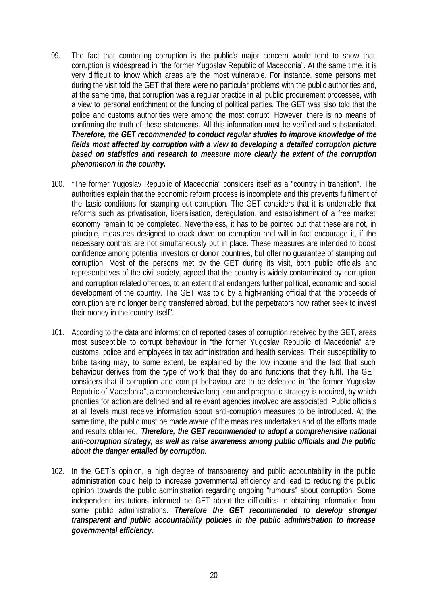- 99. The fact that combating corruption is the public's major concern would tend to show that corruption is widespread in "the former Yugoslav Republic of Macedonia". At the same time, it is very difficult to know which areas are the most vulnerable. For instance, some persons met during the visit told the GET that there were no particular problems with the public authorities and, at the same time, that corruption was a regular practice in all public procurement processes, with a view to personal enrichment or the funding of political parties. The GET was also told that the police and customs authorities were among the most corrupt. However, there is no means of confirming the truth of these statements. All this information must be verified and substantiated. *Therefore, the GET recommended to conduct regular studies to improve knowledge of the fields most affected by corruption with a view to developing a detailed corruption picture based on statistics and research to measure more clearly the extent of the corruption phenomenon in the country.*
- 100. "The former Yugoslav Republic of Macedonia" considers itself as a "country in transition". The authorities explain that the economic reform process is incomplete and this prevents fulfilment of the basic conditions for stamping out corruption. The GET considers that it is undeniable that reforms such as privatisation, liberalisation, deregulation, and establishment of a free market economy remain to be completed. Nevertheless, it has to be pointed out that these are not, in principle, measures designed to crack down on corruption and will in fact encourage it, if the necessary controls are not simultaneously put in place. These measures are intended to boost confidence among potential investors or dono r countries, but offer no guarantee of stamping out corruption. Most of the persons met by the GET during its visit, both public officials and representatives of the civil society, agreed that the country is widely contaminated by corruption and corruption related offences, to an extent that endangers further political, economic and social development of the country. The GET was told by a high-ranking official that "the proceeds of corruption are no longer being transferred abroad, but the perpetrators now rather seek to invest their money in the country itself".
- 101. According to the data and information of reported cases of corruption received by the GET, areas most susceptible to corrupt behaviour in "the former Yugoslav Republic of Macedonia" are customs, police and employees in tax administration and health services. Their susceptibility to bribe taking may, to some extent, be explained by the low income and the fact that such behaviour derives from the type of work that they do and functions that they fulfil. The GET considers that if corruption and corrupt behaviour are to be defeated in "the former Yugoslav Republic of Macedonia", a comprehensive long term and pragmatic strategy is required, by which priorities for action are defined and all relevant agencies involved are associated. Public officials at all levels must receive information about anti-corruption measures to be introduced. At the same time, the public must be made aware of the measures undertaken and of the efforts made and results obtained. *Therefore, the GET recommended to adopt a comprehensive national anti-corruption strategy, as well as raise awareness among public officials and the public about the danger entailed by corruption.*
- 102. In the GET´s opinion, a high degree of transparency and public accountability in the public administration could help to increase governmental efficiency and lead to reducing the public opinion towards the public administration regarding ongoing "rumours" about corruption. Some independent institutions informed he GET about the difficulties in obtaining information from some public administrations. *Therefore the GET recommended to develop stronger transparent and public accountability policies in the public administration to increase governmental efficiency.*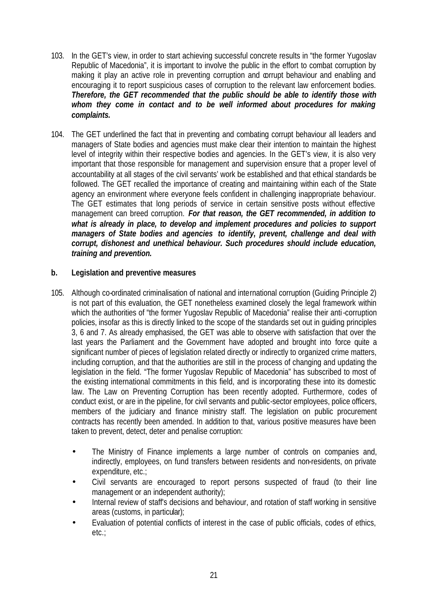- 103. In the GET's view, in order to start achieving successful concrete results in "the former Yugoslav Republic of Macedonia", it is important to involve the public in the effort to combat corruption by making it play an active role in preventing corruption and corrupt behaviour and enabling and encouraging it to report suspicious cases of corruption to the relevant law enforcement bodies. *Therefore, the GET recommended that the public should be able to identify those with whom they come in contact and to be well informed about procedures for making complaints.*
- 104. The GET underlined the fact that in preventing and combating corrupt behaviour all leaders and managers of State bodies and agencies must make clear their intention to maintain the highest level of integrity within their respective bodies and agencies. In the GET's view, it is also very important that those responsible for management and supervision ensure that a proper level of accountability at all stages of the civil servants' work be established and that ethical standards be followed. The GET recalled the importance of creating and maintaining within each of the State agency an environment where everyone feels confident in challenging inappropriate behaviour. The GET estimates that long periods of service in certain sensitive posts without effective management can breed corruption. *For that reason, the GET recommended, in addition to what is already in place, to develop and implement procedures and policies to support managers of State bodies and agencies to identify, prevent, challenge and deal with corrupt, dishonest and unethical behaviour. Such procedures should include education, training and prevention.*

# **b. Legislation and preventive measures**

- 105. Although co-ordinated criminalisation of national and international corruption (Guiding Principle 2) is not part of this evaluation, the GET nonetheless examined closely the legal framework within which the authorities of "the former Yugoslav Republic of Macedonia" realise their anti-corruption policies, insofar as this is directly linked to the scope of the standards set out in guiding principles 3, 6 and 7. As already emphasised, the GET was able to observe with satisfaction that over the last years the Parliament and the Government have adopted and brought into force quite a significant number of pieces of legislation related directly or indirectly to organized crime matters, including corruption, and that the authorities are still in the process of changing and updating the legislation in the field. "The former Yugoslav Republic of Macedonia" has subscribed to most of the existing international commitments in this field, and is incorporating these into its domestic law. The Law on Preventing Corruption has been recently adopted. Furthermore, codes of conduct exist, or are in the pipeline, for civil servants and public-sector employees, police officers, members of the judiciary and finance ministry staff. The legislation on public procurement contracts has recently been amended. In addition to that, various positive measures have been taken to prevent, detect, deter and penalise corruption:
	- The Ministry of Finance implements a large number of controls on companies and, indirectly, employees, on fund transfers between residents and non-residents, on private expenditure, etc.;
	- Civil servants are encouraged to report persons suspected of fraud (to their line management or an independent authority);
	- Internal review of staff's decisions and behaviour, and rotation of staff working in sensitive areas (customs, in particular);
	- Evaluation of potential conflicts of interest in the case of public officials, codes of ethics, etc.;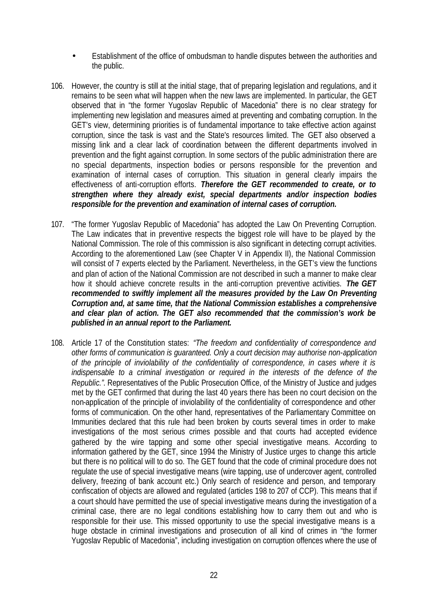- Establishment of the office of ombudsman to handle disputes between the authorities and the public.
- 106. However, the country is still at the initial stage, that of preparing legislation and regulations, and it remains to be seen what will happen when the new laws are implemented. In particular, the GET observed that in "the former Yugoslav Republic of Macedonia" there is no clear strategy for implementing new legislation and measures aimed at preventing and combating corruption. In the GET's view, determining priorities is of fundamental importance to take effective action against corruption, since the task is vast and the State's resources limited. The GET also observed a missing link and a clear lack of coordination between the different departments involved in prevention and the fight against corruption. In some sectors of the public administration there are no special departments, inspection bodies or persons responsible for the prevention and examination of internal cases of corruption. This situation in general clearly impairs the effectiveness of anti-corruption efforts. *Therefore the GET recommended to create, or to strengthen where they already exist, special departments and/or inspection bodies responsible for the prevention and examination of internal cases of corruption.*
- 107. "The former Yugoslav Republic of Macedonia" has adopted the Law On Preventing Corruption. The Law indicates that in preventive respects the biggest role will have to be played by the National Commission. The role of this commission is also significant in detecting corrupt activities. According to the aforementioned Law (see Chapter V in Appendix II), the National Commission will consist of 7 experts elected by the Parliament. Nevertheless, in the GET's view the functions and plan of action of the National Commission are not described in such a manner to make clear how it should achieve concrete results in the anti-corruption preventive activities. *The GET recommended to swiftly implement all the measures provided by the Law On Preventing Corruption and, at same time, that the National Commission establishes a comprehensive and clear plan of action. The GET also recommended that the commission's work be published in an annual report to the Parliament.*
- 108. Article 17 of the Constitution states: *"The freedom and confidentiality of correspondence and other forms of communication is guaranteed. Only a court decision may authorise non-application of the principle of inviolability of the confidentiality of correspondence, in cases where it is indispensable to a criminal investigation or required in the interests of the defence of the Republic."*. Representatives of the Public Prosecution Office, of the Ministry of Justice and judges met by the GET confirmed that during the last 40 years there has been no court decision on the non-application of the principle of inviolability of the confidentiality of correspondence and other forms of communication. On the other hand, representatives of the Parliamentary Committee on Immunities declared that this rule had been broken by courts several times in order to make investigations of the most serious crimes possible and that courts had accepted evidence gathered by the wire tapping and some other special investigative means. According to information gathered by the GET, since 1994 the Ministry of Justice urges to change this article but there is no political will to do so. The GET found that the code of criminal procedure does not regulate the use of special investigative means (wire tapping, use of undercover agent, controlled delivery, freezing of bank account etc.) Only search of residence and person, and temporary confiscation of objects are allowed and regulated (articles 198 to 207 of CCP). This means that if a court should have permitted the use of special investigative means during the investigation of a criminal case, there are no legal conditions establishing how to carry them out and who is responsible for their use. This missed opportunity to use the special investigative means is a huge obstacle in criminal investigations and prosecution of all kind of crimes in "the former Yugoslav Republic of Macedonia", including investigation on corruption offences where the use of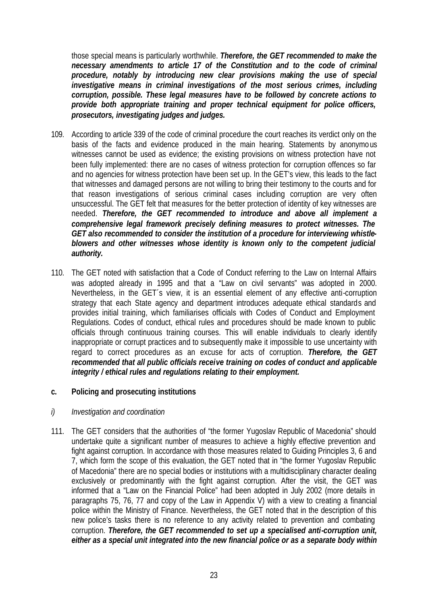those special means is particularly worthwhile. *Therefore, the GET recommended to make the necessary amendments to article 17 of the Constitution and to the code of criminal procedure, notably by introducing new clear provisions making the use of special investigative means in criminal investigations of the most serious crimes, including corruption, possible. These legal measures have to be followed by concrete actions to provide both appropriate training and proper technical equipment for police officers, prosecutors, investigating judges and judges.*

- 109. According to article 339 of the code of criminal procedure the court reaches its verdict only on the basis of the facts and evidence produced in the main hearing. Statements by anonymo us witnesses cannot be used as evidence; the existing provisions on witness protection have not been fully implemented: there are no cases of witness protection for corruption offences so far and no agencies for witness protection have been set up. In the GET's view, this leads to the fact that witnesses and damaged persons are not willing to bring their testimony to the courts and for that reason investigations of serious criminal cases including corruption are very often unsuccessful. The GET felt that measures for the better protection of identity of key witnesses are needed. *Therefore, the GET recommended to introduce and above all implement a comprehensive legal framework precisely defining measures to protect witnesses. The GET also recommended to consider the institution of a procedure for interviewing whistleblowers and other witnesses whose identity is known only to the competent judicial authority.*
- 110. The GET noted with satisfaction that a Code of Conduct referring to the Law on Internal Affairs was adopted already in 1995 and that a "Law on civil servants" was adopted in 2000. Nevertheless, in the GET´s view, it is an essential element of any effective anti-corruption strategy that each State agency and department introduces adequate ethical standards and provides initial training, which familiarises officials with Codes of Conduct and Employment Regulations. Codes of conduct, ethical rules and procedures should be made known to public officials through continuous training courses. This will enable individuals to clearly identify inappropriate or corrupt practices and to subsequently make it impossible to use uncertainty with regard to correct procedures as an excuse for acts of corruption. *Therefore, the GET recommended that all public officials receive training on codes of conduct and applicable integrity / ethical rules and regulations relating to their employment.*

# **c. Policing and prosecuting institutions**

# *i) Investigation and coordination*

111. The GET considers that the authorities of "the former Yugoslav Republic of Macedonia" should undertake quite a significant number of measures to achieve a highly effective prevention and fight against corruption. In accordance with those measures related to Guiding Principles 3, 6 and 7, which form the scope of this evaluation, the GET noted that in "the former Yugoslav Republic of Macedonia" there are no special bodies or institutions with a multidisciplinary character dealing exclusively or predominantly with the fight against corruption. After the visit, the GET was informed that a "Law on the Financial Police" had been adopted in July 2002 (more details in paragraphs 75, 76, 77 and copy of the Law in Appendix V) with a view to creating a financial police within the Ministry of Finance. Nevertheless, the GET noted that in the description of this new police's tasks there is no reference to any activity related to prevention and combating corruption. *Therefore, the GET recommended to set up a specialised anti-corruption unit, either as a special unit integrated into the new financial police or as a separate body within*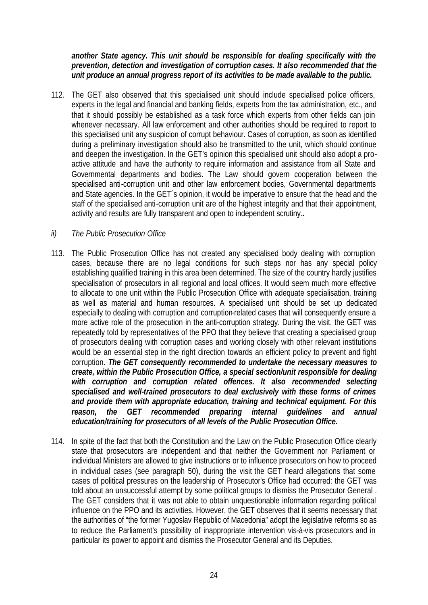# *another State agency. This unit should be responsible for dealing specifically with the prevention, detection and investigation of corruption cases. It also recommended that the unit produce an annual progress report of its activities to be made available to the public.*

112. The GET also observed that this specialised unit should include specialised police officers, experts in the legal and financial and banking fields, experts from the tax administration, etc., and that it should possibly be established as a task force which experts from other fields can join whenever necessary. All law enforcement and other authorities should be required to report to this specialised unit any suspicion of corrupt behaviour. Cases of corruption, as soon as identified during a preliminary investigation should also be transmitted to the unit, which should continue and deepen the investigation. In the GET's opinion this specialised unit should also adopt a proactive attitude and have the authority to require information and assistance from all State and Governmental departments and bodies. The Law should govern cooperation between the specialised anti-corruption unit and other law enforcement bodies, Governmental departments and State agencies. In the GET´s opinion, it would be imperative to ensure that the head and the staff of the specialised anti-corruption unit are of the highest integrity and that their appointment, activity and results are fully transparent and open to independent scrutiny.*.*

# *ii) The Public Prosecution Office*

- 113. The Public Prosecution Office has not created any specialised body dealing with corruption cases, because there are no legal conditions for such steps nor has any special policy establishing qualified training in this area been determined. The size of the country hardly justifies specialisation of prosecutors in all regional and local offices. It would seem much more effective to allocate to one unit within the Public Prosecution Office with adequate specialisation, training as well as material and human resources. A specialised unit should be set up dedicated especially to dealing with corruption and corruption-related cases that will consequently ensure a more active role of the prosecution in the anti-corruption strategy. During the visit, the GET was repeatedly told by representatives of the PPO that they believe that creating a specialised group of prosecutors dealing with corruption cases and working closely with other relevant institutions would be an essential step in the right direction towards an efficient policy to prevent and fight corruption. *The GET consequently recommended to undertake the necessary measures to create, within the Public Prosecution Office, a special section/unit responsible for dealing with corruption and corruption related offences. It also recommended selecting specialised and well-trained prosecutors to deal exclusively with these forms of crimes and provide them with appropriate education, training and technical equipment. For this reason, the GET recommended preparing internal guidelines and annual education/training for prosecutors of all levels of the Public Prosecution Office.*
- 114. In spite of the fact that both the Constitution and the Law on the Public Prosecution Office clearly state that prosecutors are independent and that neither the Government nor Parliament or individual Ministers are allowed to give instructions or to influence prosecutors on how to proceed in individual cases (see paragraph 50), during the visit the GET heard allegations that some cases of political pressures on the leadership of Prosecutor's Office had occurred: the GET was told about an unsuccessful attempt by some political groups to dismiss the Prosecutor General . The GET considers that it was not able to obtain unquestionable information regarding political influence on the PPO and its activities. However, the GET observes that it seems necessary that the authorities of "the former Yugoslav Republic of Macedonia" adopt the legislative reforms so as to reduce the Parliament's possibility of inappropriate intervention vis-à-vis prosecutors and in particular its power to appoint and dismiss the Prosecutor General and its Deputies.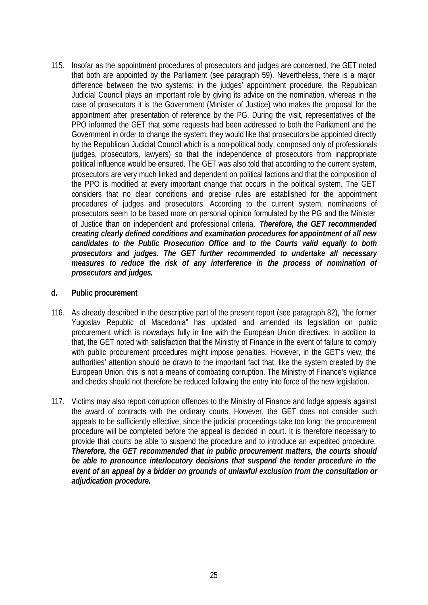115. Insofar as the appointment procedures of prosecutors and judges are concerned, the GET noted that both are appointed by the Parliament (see paragraph 59). Nevertheless, there is a major difference between the two systems: in the judges' appointment procedure, the Republican Judicial Council plays an important role by giving its advice on the nomination, whereas in the case of prosecutors it is the Government (Minister of Justice) who makes the proposal for the appointment after presentation of reference by the PG. During the visit, representatives of the PPO informed the GET that some requests had been addressed to both the Parliament and the Government in order to change the system: they would like that prosecutors be appointed directly by the Republican Judicial Council which is a non-political body, composed only of professionals (judges, prosecutors, lawyers) so that the independence of prosecutors from inappropriate political influence would be ensured. The GET was also told that according to the current system, prosecutors are very much linked and dependent on political factions and that the composition of the PPO is modified at every important change that occurs in the political system. The GET considers that no clear conditions and precise rules are established for the appointment procedures of judges and prosecutors. According to the current system, nominations of prosecutors seem to be based more on personal opinion formulated by the PG and the Minister of Justice than on independent and professional criteria. *Therefore, the GET recommended creating clearly defined conditions and examination procedures for appointment of all new candidates to the Public Prosecution Office and to the Courts valid equally to both prosecutors and judges. The GET further recommended to undertake all necessary measures to reduce the risk of any interference in the process of nomination of prosecutors and judges.*

# **d. Public procurement**

- 116. As already described in the descriptive part of the present report (see paragraph 82), "the former Yugoslav Republic of Macedonia" has updated and amended its legislation on public procurement which is nowadays fully in line with the European Union directives. In addition to that, the GET noted with satisfaction that the Ministry of Finance in the event of failure to comply with public procurement procedures might impose penalties. However, in the GET's view, the authorities' attention should be drawn to the important fact that, like the system created by the European Union, this is not a means of combating corruption. The Ministry of Finance's vigilance and checks should not therefore be reduced following the entry into force of the new legislation.
- 117. Victims may also report corruption offences to the Ministry of Finance and lodge appeals against the award of contracts with the ordinary courts. However, the GET does not consider such appeals to be sufficiently effective, since the judicial proceedings take too long: the procurement procedure will be completed before the appeal is decided in court. It is therefore necessary to provide that courts be able to suspend the procedure and to introduce an expedited procedure. *Therefore, the GET recommended that in public procurement matters, the courts should be able to pronounce interlocutory decisions that suspend the tender procedure in the event of an appeal by a bidder on grounds of unlawful exclusion from the consultation or adjudication procedure.*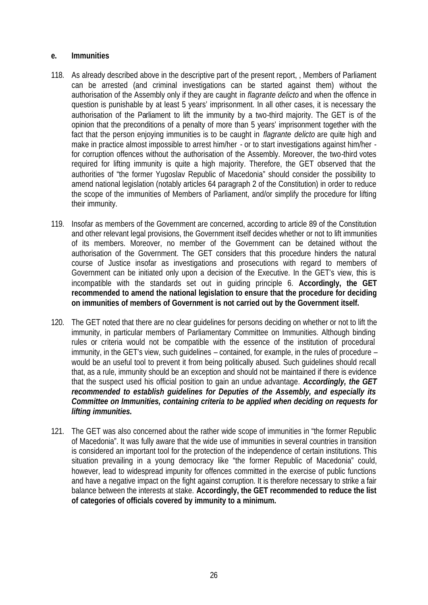# **e. Immunities**

- 118. As already described above in the descriptive part of the present report, , Members of Parliament can be arrested (and criminal investigations can be started against them) without the authorisation of the Assembly only if they are caught in *flagrante delicto* and when the offence in question is punishable by at least 5 years' imprisonment. In all other cases, it is necessary the authorisation of the Parliament to lift the immunity by a two-third majority. The GET is of the opinion that the preconditions of a penalty of more than 5 years' imprisonment together with the fact that the person enjoying immunities is to be caught in *flagrante delicto* are quite high and make in practice almost impossible to arrest him/her - or to start investigations against him/her for corruption offences without the authorisation of the Assembly. Moreover, the two-third votes required for lifting immunity is quite a high majority. Therefore, the GET observed that the authorities of "the former Yugoslav Republic of Macedonia" should consider the possibility to amend national legislation (notably articles 64 paragraph 2 of the Constitution) in order to reduce the scope of the immunities of Members of Parliament, and/or simplify the procedure for lifting their immunity.
- 119. Insofar as members of the Government are concerned, according to article 89 of the Constitution and other relevant legal provisions, the Government itself decides whether or not to lift immunities of its members. Moreover, no member of the Government can be detained without the authorisation of the Government. The GET considers that this procedure hinders the natural course of Justice insofar as investigations and prosecutions with regard to members of Government can be initiated only upon a decision of the Executive. In the GET's view, this is incompatible with the standards set out in guiding principle 6. **Accordingly, the GET recommended to amend the national legislation to ensure that the procedure for deciding on immunities of members of Government is not carried out by the Government itself.**
- 120. The GET noted that there are no clear guidelines for persons deciding on whether or not to lift the immunity, in particular members of Parliamentary Committee on Immunities. Although binding rules or criteria would not be compatible with the essence of the institution of procedural immunity, in the GET's view, such guidelines – contained, for example, in the rules of procedure – would be an useful tool to prevent it from being politically abused. Such guidelines should recall that, as a rule, immunity should be an exception and should not be maintained if there is evidence that the suspect used his official position to gain an undue advantage. *Accordingly, the GET recommended to establish guidelines for Deputies of the Assembly, and especially its Committee on Immunities, containing criteria to be applied when deciding on requests for lifting immunities.*
- 121. The GET was also concerned about the rather wide scope of immunities in "the former Republic of Macedonia". It was fully aware that the wide use of immunities in several countries in transition is considered an important tool for the protection of the independence of certain institutions. This situation prevailing in a young democracy like "the former Republic of Macedonia" could, however, lead to widespread impunity for offences committed in the exercise of public functions and have a negative impact on the fight against corruption. It is therefore necessary to strike a fair balance between the interests at stake. **Accordingly, the GET recommended to reduce the list of categories of officials covered by immunity to a minimum.**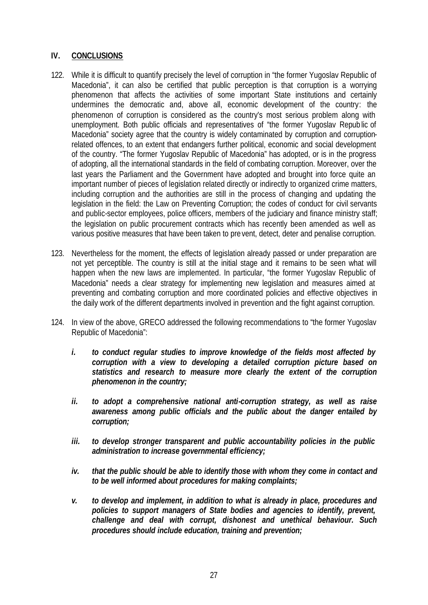# **IV. CONCLUSIONS**

- 122. While it is difficult to quantify precisely the level of corruption in "the former Yugoslav Republic of Macedonia", it can also be certified that public perception is that corruption is a worrying phenomenon that affects the activities of some important State institutions and certainly undermines the democratic and, above all, economic development of the country: the phenomenon of corruption is considered as the country's most serious problem along with unemployment. Both public officials and representatives of "the former Yugoslav Repub lic of Macedonia" society agree that the country is widely contaminated by corruption and corruptionrelated offences, to an extent that endangers further political, economic and social development of the country. "The former Yugoslav Republic of Macedonia" has adopted, or is in the progress of adopting, all the international standards in the field of combating corruption. Moreover, over the last years the Parliament and the Government have adopted and brought into force quite an important number of pieces of legislation related directly or indirectly to organized crime matters, including corruption and the authorities are still in the process of changing and updating the legislation in the field: the Law on Preventing Corruption; the codes of conduct for civil servants and public-sector employees, police officers, members of the judiciary and finance ministry staff; the legislation on public procurement contracts which has recently been amended as well as various positive measures that have been taken to pre vent, detect, deter and penalise corruption.
- 123. Nevertheless for the moment, the effects of legislation already passed or under preparation are not yet perceptible. The country is still at the initial stage and it remains to be seen what will happen when the new laws are implemented. In particular, "the former Yugoslav Republic of Macedonia" needs a clear strategy for implementing new legislation and measures aimed at preventing and combating corruption and more coordinated policies and effective objectives in the daily work of the different departments involved in prevention and the fight against corruption.
- 124. In view of the above, GRECO addressed the following recommendations to "the former Yugoslav Republic of Macedonia":
	- *i. to conduct regular studies to improve knowledge of the fields most affected by corruption with a view to developing a detailed corruption picture based on statistics and research to measure more clearly the extent of the corruption phenomenon in the country;*
	- *ii. to adopt a comprehensive national anti-corruption strategy, as well as raise awareness among public officials and the public about the danger entailed by corruption;*
	- *iii. to develop stronger transparent and public accountability policies in the public administration to increase governmental efficiency;*
	- *iv. that the public should be able to identify those with whom they come in contact and to be well informed about procedures for making complaints;*
	- *v. to develop and implement, in addition to what is already in place, procedures and policies to support managers of State bodies and agencies to identify, prevent, challenge and deal with corrupt, dishonest and unethical behaviour. Such procedures should include education, training and prevention;*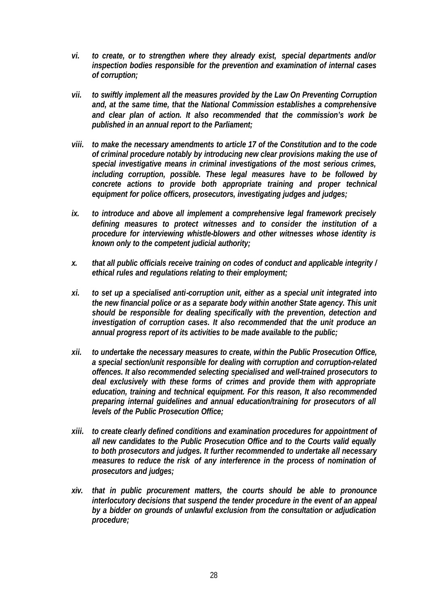- *vi. to create, or to strengthen where they already exist, special departments and/or inspection bodies responsible for the prevention and examination of internal cases of corruption;*
- *vii. to swiftly implement all the measures provided by the Law On Preventing Corruption and, at the same time, that the National Commission establishes a comprehensive and clear plan of action. It also recommended that the commission's work be published in an annual report to the Parliament;*
- *viii. to make the necessary amendments to article 17 of the Constitution and to the code of criminal procedure notably by introducing new clear provisions making the use of special investigative means in criminal investigations of the most serious crimes, including corruption, possible. These legal measures have to be followed by concrete actions to provide both appropriate training and proper technical* equipment for police officers, prosecutors, investigating judges and judges;
- *ix. to introduce and above all implement a comprehensive legal framework precisely defining measures to protect witnesses and to consider the institution of a procedure for interviewing whistle-blowers and other witnesses whose identity is known only to the competent judicial authority;*
- *x. that all public officials receive training on codes of conduct and applicable integrity / ethical rules and regulations relating to their employment;*
- *xi. to set up a specialised anti-corruption unit, either as a special unit integrated into the new financial police or as a separate body within another State agency. This unit should be responsible for dealing specifically with the prevention, detection and investigation of corruption cases. It also recommended that the unit produce an annual progress report of its activities to be made available to the public;*
- *xii. to undertake the necessary measures to create, within the Public Prosecution Office, a special section/unit responsible for dealing with corruption and corruption-related offences. It also recommended selecting specialised and well-trained prosecutors to deal exclusively with these forms of crimes and provide them with appropriate education, training and technical equipment. For this reason, It also recommended preparing internal guidelines and annual education/training for prosecutors of all levels of the Public Prosecution Office;*
- *xiii. to create clearly defined conditions and examination procedures for appointment of all new candidates to the Public Prosecution Office and to the Courts valid equally to both prosecutors and judges. It further recommended to undertake all necessary measures to reduce the risk of any interference in the process of nomination of prosecutors and judges;*
- *xiv. that in public procurement matters, the courts should be able to pronounce interlocutory decisions that suspend the tender procedure in the event of an appeal by a bidder on grounds of unlawful exclusion from the consultation or adjudication procedure;*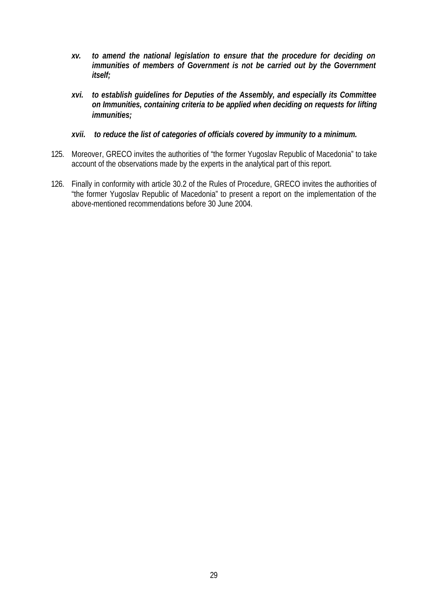- *xv. to amend the national legislation to ensure that the procedure for deciding on immunities of members of Government is not be carried out by the Government itself;*
- *xvi. to establish guidelines for Deputies of the Assembly, and especially its Committee on Immunities, containing criteria to be applied when deciding on requests for lifting immunities;*

# *xvii. to reduce the list of categories of officials covered by immunity to a minimum.*

- 125. Moreover, GRECO invites the authorities of "the former Yugoslav Republic of Macedonia" to take account of the observations made by the experts in the analytical part of this report.
- 126. Finally in conformity with article 30.2 of the Rules of Procedure, GRECO invites the authorities of "the former Yugoslav Republic of Macedonia" to present a report on the implementation of the above-mentioned recommendations before 30 June 2004.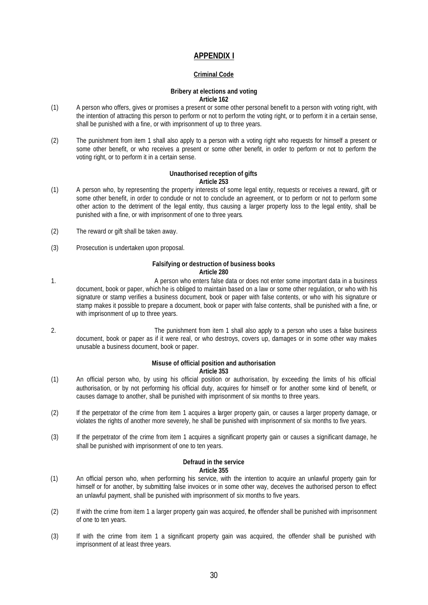# **APPENDIX I**

## **Criminal Code**

#### **Bribery at elections and voting Article 162**

- (1) A person who offers, gives or promises a present or some other personal benefit to a person with voting right, with the intention of attracting this person to perform or not to perform the voting right, or to perform it in a certain sense, shall be punished with a fine, or with imprisonment of up to three years.
- (2) The punishment from item 1 shall also apply to a person with a voting right who requests for himself a present or some other benefit, or who receives a present or some other benefit, in order to perform or not to perform the voting right, or to perform it in a certain sense.

#### **Unauthorised reception of gifts Article 253**

- (1) A person who, by representing the property interests of some legal entity, requests or receives a reward, gift or some other benefit, in order to conclude or not to conclude an agreement, or to perform or not to perform some other action to the detriment of the legal entity, thus causing a larger property loss to the legal entity, shall be punished with a fine, or with imprisonment of one to three years.
- (2) The reward or gift shall be taken away.
- (3) Prosecution is undertaken upon proposal.

### **Falsifying or destruction of business books Article 280**

- 1. A person who enters false data or does not enter some important data in a business document, book or paper, which he is obliged to maintain based on a law or some other regulation, or who with his signature or stamp verifies a business document, book or paper with false contents, or who with his signature or stamp makes it possible to prepare a document, book or paper with false contents, shall be punished with a fine, or with imprisonment of up to three years.
- 2. The punishment from item 1 shall also apply to a person who uses a false business document, book or paper as if it were real, or who destroys, covers up, damages or in some other way makes unusable a business document, book or paper.

## **Misuse of official position and authorisation Article 353**

- (1) An official person who, by using his official position or authorisation, by exceeding the limits of his official authorisation, or by not performing his official duty, acquires for himself or for another some kind of benefit, or causes damage to another, shall be punished with imprisonment of six months to three years.
- (2) If the perpetrator of the crime from item 1 acquires a larger property gain, or causes a larger property damage, or violates the rights of another more severely, he shall be punished with imprisonment of six months to five years.
- (3) If the perpetrator of the crime from item 1 acquires a significant property gain or causes a significant damage, he shall be punished with imprisonment of one to ten years.

## **Defraud in the service Article 355**

- (1) An official person who, when performing his service, with the intention to acquire an unlawful property gain for himself or for another, by submitting false invoices or in some other way, deceives the authorised person to effect an unlawful payment, shall be punished with imprisonment of six months to five years.
- (2) If with the crime from item 1 a larger property gain was acquired, the offender shall be punished with imprisonment of one to ten years.
- (3) If with the crime from item 1 a significant property gain was acquired, the offender shall be punished with imprisonment of at least three years.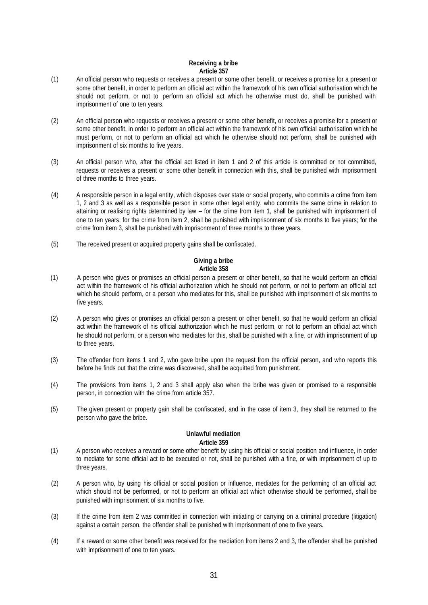## **Receiving a bribe Article 357**

- (1) An official person who requests or receives a present or some other benefit, or receives a promise for a present or some other benefit, in order to perform an official act within the framework of his own official authorisation which he should not perform, or not to perform an official act which he otherwise must do, shall be punished with imprisonment of one to ten years.
- (2) An official person who requests or receives a present or some other benefit, or receives a promise for a present or some other benefit, in order to perform an official act within the framework of his own official authorisation which he must perform, or not to perform an official act which he otherwise should not perform, shall be punished with imprisonment of six months to five years.
- (3) An official person who, after the official act listed in item 1 and 2 of this article is committed or not committed, requests or receives a present or some other benefit in connection with this, shall be punished with imprisonment of three months to three years.
- (4) A responsible person in a legal entity, which disposes over state or social property, who commits a crime from item 1, 2 and 3 as well as a responsible person in some other legal entity, who commits the same crime in relation to attaining or realising rights determined by law – for the crime from item 1, shall be punished with imprisonment of one to ten years; for the crime from item 2, shall be punished with imprisonment of six months to five years; for the crime from item 3, shall be punished with imprisonment of three months to three years.
- (5) The received present or acquired property gains shall be confiscated.

## **Giving a bribe Article 358**

- (1) A person who gives or promises an official person a present or other benefit, so that he would perform an official act within the framework of his official authorization which he should not perform, or not to perform an official act which he should perform, or a person who mediates for this, shall be punished with imprisonment of six months to five years.
- (2) A person who gives or promises an official person a present or other benefit, so that he would perform an official act within the framework of his official authorization which he must perform, or not to perform an official act which he should not perform, or a person who mediates for this, shall be punished with a fine, or with imprisonment of up to three years.
- (3) The offender from items 1 and 2, who gave bribe upon the request from the official person, and who reports this before he finds out that the crime was discovered, shall be acquitted from punishment.
- (4) The provisions from items 1, 2 and 3 shall apply also when the bribe was given or promised to a responsible person, in connection with the crime from article 357.
- (5) The given present or property gain shall be confiscated, and in the case of item 3, they shall be returned to the person who gave the bribe.

#### **Unlawful mediation Article 359**

- (1) A person who receives a reward or some other benefit by using his official or social position and influence, in order to mediate for some official act to be executed or not, shall be punished with a fine, or with imprisonment of up to three years.
- (2) A person who, by using his official or social position or influence, mediates for the performing of an official act which should not be performed, or not to perform an official act which otherwise should be performed, shall be punished with imprisonment of six months to five.
- (3) If the crime from item 2 was committed in connection with initiating or carrying on a criminal procedure (litigation) against a certain person, the offender shall be punished with imprisonment of one to five years.
- (4) If a reward or some other benefit was received for the mediation from items 2 and 3, the offender shall be punished with imprisonment of one to ten years.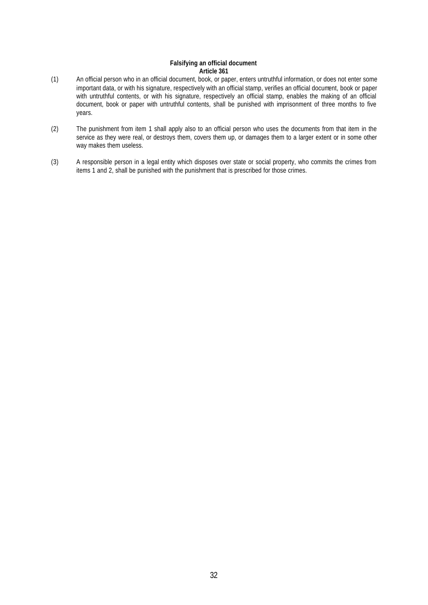## **Falsifying an official document Article 361**

- (1) An official person who in an official document, book, or paper, enters untruthful information, or does not enter some important data, or with his signature, respectively with an official stamp, verifies an official document, book or paper with untruthful contents, or with his signature, respectively an official stamp, enables the making of an official document, book or paper with untruthful contents, shall be punished with imprisonment of three months to five years.
- (2) The punishment from item 1 shall apply also to an official person who uses the documents from that item in the service as they were real, or destroys them, covers them up, or damages them to a larger extent or in some other way makes them useless.
- (3) A responsible person in a legal entity which disposes over state or social property, who commits the crimes from items 1 and 2, shall be punished with the punishment that is prescribed for those crimes.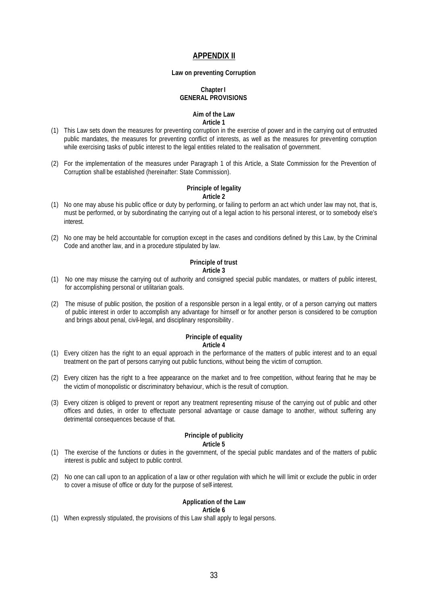## **APPENDIX II**

#### **Law on preventing Corruption**

## **Chapter I GENERAL PROVISIONS**

#### **Aim of the Law Article 1**

- (1) This Law sets down the measures for preventing corruption in the exercise of power and in the carrying out of entrusted public mandates, the measures for preventing conflict of interests, as well as the measures for preventing corruption while exercising tasks of public interest to the legal entities related to the realisation of government.
- (2) For the implementation of the measures under Paragraph 1 of this Article, a State Commission for the Prevention of Corruption shall be established (hereinafter: State Commission).

## **Principle of legality Article 2**

- (1) No one may abuse his public office or duty by performing, or failing to perform an act which under law may not, that is, must be performed, or by subordinating the carrying out of a legal action to his personal interest, or to somebody else's interest.
- (2) No one may be held accountable for corruption except in the cases and conditions defined by this Law, by the Criminal Code and another law, and in a procedure stipulated by law.

## **Principle of trust Article 3**

- (1) No one may misuse the carrying out of authority and consigned special public mandates, or matters of public interest, for accomplishing personal or utilitarian goals.
- (2) The misuse of public position, the position of a responsible person in a legal entity, or of a person carrying out matters of public interest in order to accomplish any advantage for himself or for another person is considered to be corruption and brings about penal, civil-legal, and disciplinary responsibility .

## **Principle of equality Article 4**

- (1) Every citizen has the right to an equal approach in the performance of the matters of public interest and to an equal treatment on the part of persons carrying out public functions, without being the victim of corruption.
- (2) Every citizen has the right to a free appearance on the market and to free competition, without fearing that he may be the victim of monopolistic or discriminatory behaviour, which is the result of corruption.
- (3) Every citizen is obliged to prevent or report any treatment representing misuse of the carrying out of public and other offices and duties, in order to effectuate personal advantage or cause damage to another, without suffering any detrimental consequences because of that.

## **Principle of publicity Article 5**

- (1) The exercise of the functions or duties in the government, of the special public mandates and of the matters of public interest is public and subject to public control.
- (2) No one can call upon to an application of a law or other regulation with which he will limit or exclude the public in order to cover a misuse of office or duty for the purpose of self-interest.

## **Application of the Law**

## **Article 6**

(1) When expressly stipulated, the provisions of this Law shall apply to legal persons.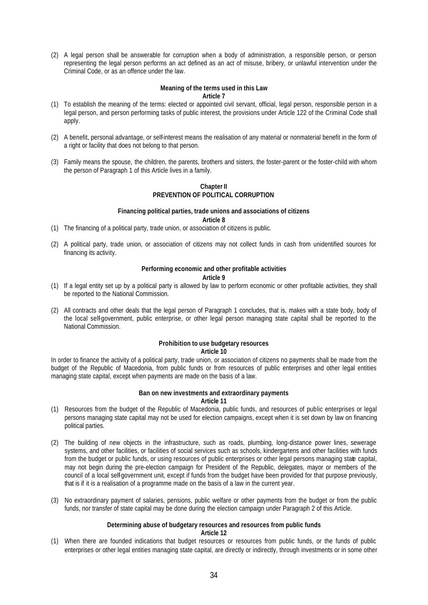(2) A legal person shall be answerable for corruption when a body of administration, a responsible person, or person representing the legal person performs an act defined as an act of misuse, bribery, or unlawful intervention under the Criminal Code, or as an offence under the law.

#### **Meaning of the terms used in this Law Article 7**

- (1) To establish the meaning of the terms: elected or appointed civil servant, official, legal person, responsible person in a legal person, and person performing tasks of public interest, the provisions under Article 122 of the Criminal Code shall apply.
- (2) A benefit, personal advantage, or self-interest means the realisation of any material or nonmaterial benefit in the form of a right or facility that does not belong to that person.
- (3) Family means the spouse, the children, the parents, brothers and sisters, the foster-parent or the foster-child with whom the person of Paragraph 1 of this Article lives in a family.

### **Chapter II PREVENTION OF POLITICAL CORRUPTION**

## **Financing political parties, trade unions and associations of citizens**

#### **Article 8**

- (1) The financing of a political party, trade union, or association of citizens is public.
- (2) A political party, trade union, or association of citizens may not collect funds in cash from unidentified sources for financing its activity.

## **Performing economic and other profitable activities**

#### **Article 9**

- (1) If a legal entity set up by a political party is allowed by law to perform economic or other profitable activities, they shall be reported to the National Commission.
- (2) All contracts and other deals that the legal person of Paragraph 1 concludes, that is, makes with a state body, body of the local self-government, public enterprise, or other legal person managing state capital shall be reported to the National Commission.

#### **Prohibition to use budgetary resources Article 10**

In order to finance the activity of a political party, trade union, or association of citizens no payments shall be made from the budget of the Republic of Macedonia, from public funds or from resources of public enterprises and other legal entities managing state capital, except when payments are made on the basis of a law.

# **Ban on new investments and extraordinary payments**

## **Article 11**

- (1) Resources from the budget of the Republic of Macedonia, public funds, and resources of public enterprises or legal persons managing state capital may not be used for election campaigns, except when it is set down by law on financing political parties.
- (2) The building of new objects in the infrastructure, such as roads, plumbing, long-distance power lines, sewerage systems, and other facilities, or facilities of social services such as schools, kindergartens and other facilities with funds from the budget or public funds, or using resources of public enterprises or other legal persons managing state capital, may not begin during the pre-election campaign for President of the Republic, delegates, mayor or members of the council of a local self-government unit, except if funds from the budget have been provided for that purpose previously, that is if it is a realisation of a programme made on the basis of a law in the current year.
- (3) No extraordinary payment of salaries, pensions, public welfare or other payments from the budget or from the public funds, nor transfer of state capital may be done during the election campaign under Paragraph 2 of this Article.

## **Determining abuse of budgetary resources and resources from public funds Article 12**

(1) When there are founded indications that budget resources or resources from public funds, or the funds of public enterprises or other legal entities managing state capital, are directly or indirectly, through investments or in some other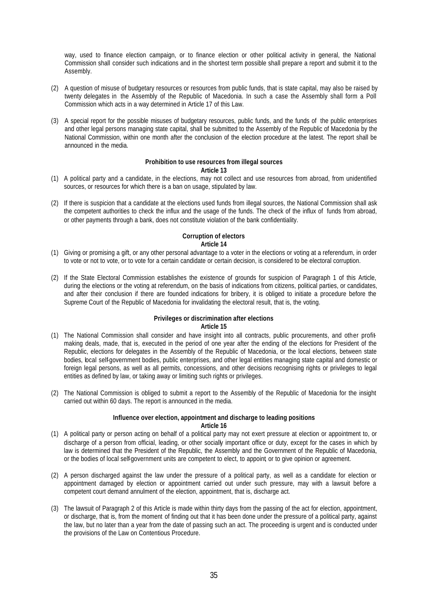way, used to finance election campaign, or to finance election or other political activity in general, the National Commission shall consider such indications and in the shortest term possible shall prepare a report and submit it to the Assembly.

- (2) A question of misuse of budgetary resources or resources from public funds, that is state capital, may also be raised by twenty delegates in the Assembly of the Republic of Macedonia. In such a case the Assembly shall form a Poll Commission which acts in a way determined in Article 17 of this Law.
- (3) A special report for the possible misuses of budgetary resources, public funds, and the funds of the public enterprises and other legal persons managing state capital, shall be submitted to the Assembly of the Republic of Macedonia by the National Commission, within one month after the conclusion of the election procedure at the latest. The report shall be announced in the media.

## **Prohibition to use resources from illegal sources**

#### **Article 13**

- (1) A political party and a candidate, in the elections, may not collect and use resources from abroad, from unidentified sources, or resources for which there is a ban on usage, stipulated by law.
- (2) If there is suspicion that a candidate at the elections used funds from illegal sources, the National Commission shall ask the competent authorities to check the influx and the usage of the funds. The check of the influx of funds from abroad, or other payments through a bank, does not constitute violation of the bank confidentiality.

## **Corruption of electors Article 14**

- (1) Giving or promising a gift, or any other personal advantage to a voter in the elections or voting at a referendum, in order to vote or not to vote, or to vote for a certain candidate or certain decision, is considered to be electoral corruption.
- (2) If the State Electoral Commission establishes the existence of grounds for suspicion of Paragraph 1 of this Article, during the elections or the voting at referendum, on the basis of indications from citizens, political parties, or candidates, and after their conclusion if there are founded indications for bribery, it is obliged to initiate a procedure before the Supreme Court of the Republic of Macedonia for invalidating the electoral result, that is, the voting.

# **Privileges or discrimination after elections**

## **Article 15**

- (1) The National Commission shall consider and have insight into all contracts, public procurements, and other profitmaking deals, made, that is, executed in the period of one year after the ending of the elections for President of the Republic, elections for delegates in the Assembly of the Republic of Macedonia, or the local elections, between state bodies, local self-government bodies, public enterprises, and other legal entities managing state capital and domestic or foreign legal persons, as well as all permits, concessions, and other decisions recognising rights or privileges to legal entities as defined by law, or taking away or limiting such rights or privileges.
- (2) The National Commission is obliged to submit a report to the Assembly of the Republic of Macedonia for the insight carried out within 60 days. The report is announced in the media.

#### **Influence over election, appointment and discharge to leading positions Article 16**

- (1) A political party or person acting on behalf of a political party may not exert pressure at election or appointment to, or discharge of a person from official, leading, or other socially important office or duty, except for the cases in which by law is determined that the President of the Republic, the Assembly and the Government of the Republic of Macedonia, or the bodies of local self-government units are competent to elect, to appoint, or to give opinion or agreement.
- (2) A person discharged against the law under the pressure of a political party, as well as a candidate for election or appointment damaged by election or appointment carried out under such pressure, may with a lawsuit before a competent court demand annulment of the election, appointment, that is, discharge act.
- (3) The lawsuit of Paragraph 2 of this Article is made within thirty days from the passing of the act for election, appointment, or discharge, that is, from the moment of finding out that it has been done under the pressure of a political party, against the law, but no later than a year from the date of passing such an act. The proceeding is urgent and is conducted under the provisions of the Law on Contentious Procedure.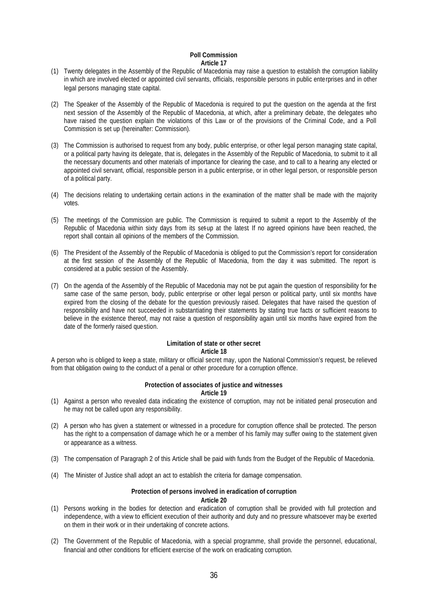## **Poll Commission Article 17**

- (1) Twenty delegates in the Assembly of the Republic of Macedonia may raise a question to establish the corruption liability in which are involved elected or appointed civil servants, officials, responsible persons in public enterprises and in other legal persons managing state capital.
- (2) The Speaker of the Assembly of the Republic of Macedonia is required to put the question on the agenda at the first next session of the Assembly of the Republic of Macedonia, at which, after a preliminary debate, the delegates who have raised the question explain the violations of this Law or of the provisions of the Criminal Code, and a Poll Commission is set up (hereinafter: Commission).
- (3) The Commission is authorised to request from any body, public enterprise, or other legal person managing state capital, or a political party having its delegate, that is, delegates in the Assembly of the Republic of Macedonia, to submit to it all the necessary documents and other materials of importance for clearing the case, and to call to a hearing any elected or appointed civil servant, official, responsible person in a public enterprise, or in other legal person, or responsible person of a political party.
- (4) The decisions relating to undertaking certain actions in the examination of the matter shall be made with the majority votes.
- (5) The meetings of the Commission are public. The Commission is required to submit a report to the Assembly of the Republic of Macedonia within sixty days from its set-up at the latest. If no agreed opinions have been reached, the report shall contain all opinions of the members of the Commission.
- (6) The President of the Assembly of the Republic of Macedonia is obliged to put the Commission's report for consideration at the first session of the Assembly of the Republic of Macedonia, from the day it was submitted. The report is considered at a public session of the Assembly.
- (7) On the agenda of the Assembly of the Republic of Macedonia may not be put again the question of responsibility for the same case of the same person, body, public enterprise or other legal person or political party, until six months have expired from the closing of the debate for the question previously raised. Delegates that have raised the question of responsibility and have not succeeded in substantiating their statements by stating true facts or sufficient reasons to believe in the existence thereof, may not raise a question of responsibility again until six months have expired from the date of the formerly raised question.

# **Limitation of state or other secret**

**Article 18**

A person who is obliged to keep a state, military or official secret may, upon the National Commission's request, be relieved from that obligation owing to the conduct of a penal or other procedure for a corruption offence.

#### **Protection of associates of justice and witnesses Article 19**

- (1) Against a person who revealed data indicating the existence of corruption, may not be initiated penal prosecution and he may not be called upon any responsibility.
- (2) A person who has given a statement or witnessed in a procedure for corruption offence shall be protected. The person has the right to a compensation of damage which he or a member of his family may suffer owing to the statement given or appearance as a witness.
- (3) The compensation of Paragraph 2 of this Article shall be paid with funds from the Budget of the Republic of Macedonia.
- (4) The Minister of Justice shall adopt an act to establish the criteria for damage compensation.

#### **Protection of persons involved in eradication of corruption Article 20**

- (1) Persons working in the bodies for detection and eradication of corruption shall be provided with full protection and independence, with a view to efficient execution of their authority and duty and no pressure whatsoever may be exerted on them in their work or in their undertaking of concrete actions.
- (2) The Government of the Republic of Macedonia, with a special programme, shall provide the personnel, educational, financial and other conditions for efficient exercise of the work on eradicating corruption.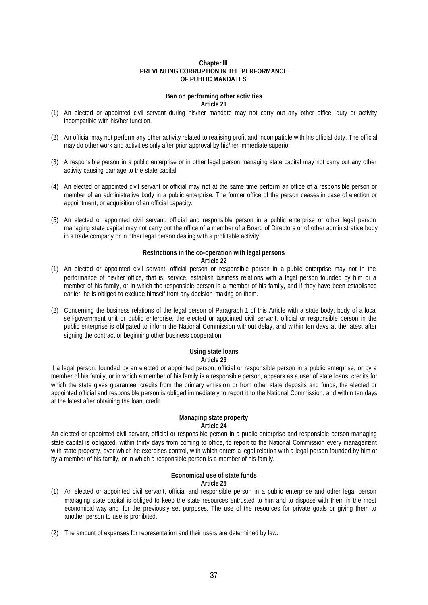#### **Chapter III PREVENTING CORRUPTION IN THE PERFORMANCE OF PUBLIC MANDATES**

#### **Ban on performing other activities Article 21**

- (1) An elected or appointed civil servant during his/her mandate may not carry out any other office, duty or activity incompatible with his/her function.
- (2) An official may not perform any other activity related to realising profit and incompatible with his official duty. The official may do other work and activities only after prior approval by his/her immediate superior.
- (3) A responsible person in a public enterprise or in other legal person managing state capital may not carry out any other activity causing damage to the state capital.
- (4) An elected or appointed civil servant or official may not at the same time perform an office of a responsible person or member of an administrative body in a public enterprise. The former office of the person ceases in case of election or appointment, or acquisition of an official capacity.
- (5) An elected or appointed civil servant, official and responsible person in a public enterprise or other legal person managing state capital may not carry out the office of a member of a Board of Directors or of other administrative body in a trade company or in other legal person dealing with a profi table activity.

#### **Restrictions in the co-operation with legal persons Article 22**

- (1) An elected or appointed civil servant, official person or responsible person in a public enterprise may not in the performance of his/her office, that is, service, establish business relations with a legal person founded by him or a member of his family, or in which the responsible person is a member of his family, and if they have been established earlier, he is obliged to exclude himself from any decision-making on them.
- (2) Concerning the business relations of the legal person of Paragraph 1 of this Article with a state body, body of a local self-government unit or public enterprise, the elected or appointed civil servant, official or responsible person in the public enterprise is obligated to inform the National Commission without delay, and within ten days at the latest after signing the contract or beginning other business cooperation.

#### **Using state loans Article 23**

If a legal person, founded by an elected or appointed person, official or responsible person in a public enterprise, or by a member of his family, or in which a member of his family is a responsible person, appears as a user of state loans, credits for which the state gives guarantee, credits from the primary emission or from other state deposits and funds, the elected or appointed official and responsible person is obliged immediately to report it to the National Commission, and within ten days at the latest after obtaining the loan, credit.

#### **Managing state property Article 24**

An elected or appointed civil servant, official or responsible person in a public enterprise and responsible person managing state capital is obligated, within thirty days from coming to office, to report to the National Commission every management with state property, over which he exercises control, with which enters a legal relation with a legal person founded by him or by a member of his family, or in which a responsible person is a member of his family.

#### **Economical use of state funds Article 25**

- (1) An elected or appointed civil servant, official and responsible person in a public enterprise and other legal person managing state capital is obliged to keep the state resources entrusted to him and to dispose with them in the most economical way and for the previously set purposes. The use of the resources for private goals or giving them to another person to use is prohibited.
- (2) The amount of expenses for representation and their users are determined by law.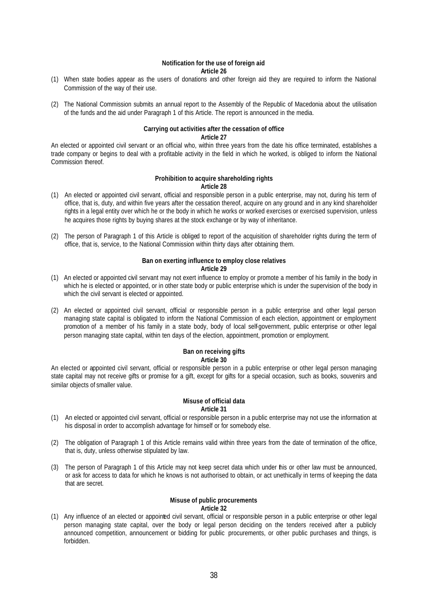## **Notification for the use of foreign aid Article 26**

- (1) When state bodies appear as the users of donations and other foreign aid they are required to inform the National Commission of the way of their use.
- (2) The National Commission submits an annual report to the Assembly of the Republic of Macedonia about the utilisation of the funds and the aid under Paragraph 1 of this Article. The report is announced in the media.

# **Carrying out activities after the cessation of office**

## **Article 27**

An elected or appointed civil servant or an official who, within three years from the date his office terminated, establishes a trade company or begins to deal with a profitable activity in the field in which he worked, is obliged to inform the National Commission thereof.

#### **Prohibition to acquire shareholding rights Article 28**

- (1) An elected or appointed civil servant, official and responsible person in a public enterprise, may not, during his term of office, that is, duty, and within five years after the cessation thereof, acquire on any ground and in any kind shareholder rights in a legal entity over which he or the body in which he works or worked exercises or exercised supervision, unless he acquires those rights by buying shares at the stock exchange or by way of inheritance.
- (2) The person of Paragraph 1 of this Article is obliged to report of the acquisition of shareholder rights during the term of office, that is, service, to the National Commission within thirty days after obtaining them.

#### **Ban on exerting influence to employ close relatives Article 29**

- (1) An elected or appointed civil servant may not exert influence to employ or promote a member of his family in the body in which he is elected or appointed, or in other state body or public enterprise which is under the supervision of the body in which the civil servant is elected or appointed.
- (2) An elected or appointed civil servant, official or responsible person in a public enterprise and other legal person managing state capital is obligated to inform the National Commission of each election, appointment or employment promotion of a member of his family in a state body, body of local self-government, public enterprise or other legal person managing state capital, within ten days of the election, appointment, promotion or employment.

## **Ban on receiving gifts Article 30**

An elected or appointed civil servant, official or responsible person in a public enterprise or other legal person managing state capital may not receive gifts or promise for a gift, except for gifts for a special occasion, such as books, souvenirs and similar objects of smaller value.

#### **Misuse of official data Article 31**

- (1) An elected or appointed civil servant, official or responsible person in a public enterprise may not use the information at his disposal in order to accomplish advantage for himself or for somebody else.
- (2) The obligation of Paragraph 1 of this Article remains valid within three years from the date of termination of the office, that is, duty, unless otherwise stipulated by law.
- (3) The person of Paragraph 1 of this Article may not keep secret data which under this or other law must be announced, or ask for access to data for which he knows is not authorised to obtain, or act unethically in terms of keeping the data that are secret.

## **Misuse of public procurements**

## **Article 32**

(1) Any influence of an elected or appointed civil servant, official or responsible person in a public enterprise or other legal person managing state capital, over the body or legal person deciding on the tenders received after a publicly announced competition, announcement or bidding for public procurements, or other public purchases and things, is forbidden.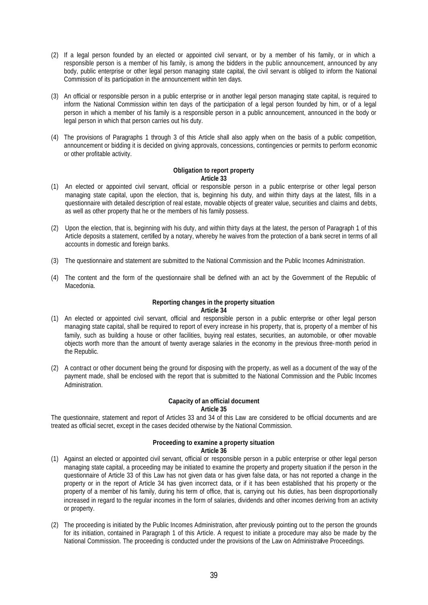- (2) If a legal person founded by an elected or appointed civil servant, or by a member of his family, or in which a responsible person is a member of his family, is among the bidders in the public announcement, announced by any body, public enterprise or other legal person managing state capital, the civil servant is obliged to inform the National Commission of its participation in the announcement within ten days.
- (3) An official or responsible person in a public enterprise or in another legal person managing state capital, is required to inform the National Commission within ten days of the participation of a legal person founded by him, or of a legal person in which a member of his family is a responsible person in a public announcement, announced in the body or legal person in which that person carries out his duty.
- (4) The provisions of Paragraphs 1 through 3 of this Article shall also apply when on the basis of a public competition, announcement or bidding it is decided on giving approvals, concessions, contingencies or permits to perform economic or other profitable activity.

#### **Obligation to report property Article 33**

- (1) An elected or appointed civil servant, official or responsible person in a public enterprise or other legal person managing state capital, upon the election, that is, beginning his duty, and within thirty days at the latest, fills in a questionnaire with detailed description of real estate, movable objects of greater value, securities and claims and debts, as well as other property that he or the members of his family possess.
- (2) Upon the election, that is, beginning with his duty, and within thirty days at the latest, the person of Paragraph 1 of this Article deposits a statement, certified by a notary, whereby he waives from the protection of a bank secret in terms of all accounts in domestic and foreign banks.
- (3) The questionnaire and statement are submitted to the National Commission and the Public Incomes Administration.
- (4) The content and the form of the questionnaire shall be defined with an act by the Government of the Republic of Macedonia.

#### **Reporting changes in the property situation Article 34**

- (1) An elected or appointed civil servant, official and responsible person in a public enterprise or other legal person managing state capital, shall be required to report of every increase in his property, that is, property of a member of his family, such as building a house or other facilities, buying real estates, securities, an automobile, or other movable objects worth more than the amount of twenty average salaries in the economy in the previous three-month period in the Republic.
- (2) A contract or other document being the ground for disposing with the property, as well as a document of the way of the payment made, shall be enclosed with the report that is submitted to the National Commission and the Public Incomes Administration.

# **Capacity of an official document**

## **Article 35**

The questionnaire, statement and report of Articles 33 and 34 of this Law are considered to be official documents and are treated as official secret, except in the cases decided otherwise by the National Commission.

#### **Proceeding to examine a property situation Article 36**

- (1) Against an elected or appointed civil servant, official or responsible person in a public enterprise or other legal person managing state capital, a proceeding may be initiated to examine the property and property situation if the person in the questionnaire of Article 33 of this Law has not given data or has given false data, or has not reported a change in the property or in the report of Article 34 has given incorrect data, or if it has been established that his property or the property of a member of his family, during his term of office, that is, carrying out his duties, has been disproportionally increased in regard to the regular incomes in the form of salaries, dividends and other incomes deriving from an activity or property.
- (2) The proceeding is initiated by the Public Incomes Administration, after previously pointing out to the person the grounds for its initiation, contained in Paragraph 1 of this Article. A request to initiate a procedure may also be made by the National Commission. The proceeding is conducted under the provisions of the Law on Administrative Proceedings.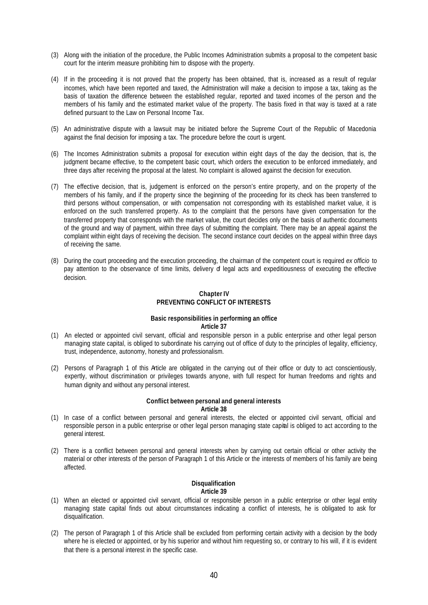- (3) Along with the initiation of the procedure, the Public Incomes Administration submits a proposal to the competent basic court for the interim measure prohibiting him to dispose with the property.
- (4) If in the proceeding it is not proved that the property has been obtained, that is, increased as a result of regular incomes, which have been reported and taxed, the Administration will make a decision to impose a tax, taking as the basis of taxation the difference between the established regular, reported and taxed incomes of the person and the members of his family and the estimated market value of the property. The basis fixed in that way is taxed at a rate defined pursuant to the Law on Personal Income Tax.
- (5) An administrative dispute with a lawsuit may be initiated before the Supreme Court of the Republic of Macedonia against the final decision for imposing a tax. The procedure before the court is urgent.
- (6) The Incomes Administration submits a proposal for execution within eight days of the day the decision, that is, the judgment became effective, to the competent basic court, which orders the execution to be enforced immediately, and three days after receiving the proposal at the latest. No complaint is allowed against the decision for execution.
- (7) The effective decision, that is, judgement is enforced on the person's entire property, and on the property of the members of his family, and if the property since the beginning of the proceeding for its check has been transferred to third persons without compensation, or with compensation not corresponding with its established market value, it is enforced on the such transferred property. As to the complaint that the persons have given compensation for the transferred property that corresponds with the market value, the court decides only on the basis of authentic documents of the ground and way of payment, within three days of submitting the complaint. There may be an appeal against the complaint within eight days of receiving the decision. The second instance court decides on the appeal within three days of receiving the same.
- (8) During the court proceeding and the execution proceeding, the chairman of the competent court is required *ex officio* to pay attention to the observance of time limits, delivery of legal acts and expeditiousness of executing the effective decision.

### **Chapter IV PREVENTING CONFLICT OF INTERESTS**

#### **Basic responsibilities in performing an office Article 37**

- (1) An elected or appointed civil servant, official and responsible person in a public enterprise and other legal person managing state capital, is obliged to subordinate his carrying out of office of duty to the principles of legality, efficiency, trust, independence, autonomy, honesty and professionalism.
- (2) Persons of Paragraph 1 of this Article are obligated in the carrying out of their office or duty to act conscientiously, expertly, without discrimination or privileges towards anyone, with full respect for human freedoms and rights and human dignity and without any personal interest.

#### **Conflict between personal and general interests Article 38**

- (1) In case of a conflict between personal and general interests, the elected or appointed civil servant, official and responsible person in a public enterprise or other legal person managing state capital is obliged to act according to the general interest.
- (2) There is a conflict between personal and general interests when by carrying out certain official or other activity the material or other interests of the person of Paragraph 1 of this Article or the interests of members of his family are being affected.

#### **Disqualification Article 39**

- (1) When an elected or appointed civil servant, official or responsible person in a public enterprise or other legal entity managing state capital finds out about circumstances indicating a conflict of interests, he is obligated to ask for disqualification.
- (2) The person of Paragraph 1 of this Article shall be excluded from performing certain activity with a decision by the body where he is elected or appointed, or by his superior and without him requesting so, or contrary to his will, if it is evident that there is a personal interest in the specific case.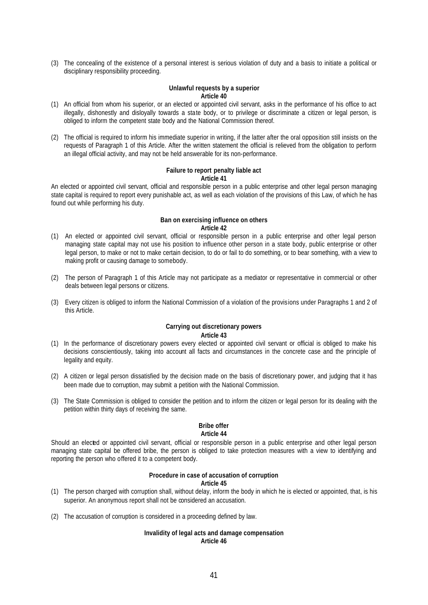(3) The concealing of the existence of a personal interest is serious violation of duty and a basis to initiate a political or disciplinary responsibility proceeding.

#### **Unlawful requests by a superior Article 40**

- (1) An official from whom his superior, or an elected or appointed civil servant, asks in the performance of his office to act illegally, dishonestly and disloyally towards a state body, or to privilege or discriminate a citizen or legal person, is obliged to inform the competent state body and the National Commission thereof.
- (2) The official is required to inform his immediate superior in writing, if the latter after the oral opposition still insists on the requests of Paragraph 1 of this Article. After the written statement the official is relieved from the obligation to perform an illegal official activity, and may not be held answerable for its non-performance.

# **Failure to report penalty liable act**

## **Article 41**

An elected or appointed civil servant, official and responsible person in a public enterprise and other legal person managing state capital is required to report every punishable act, as well as each violation of the provisions of this Law, of which he has found out while performing his duty.

#### **Ban on exercising influence on others Article 42**

- (1) An elected or appointed civil servant, official or responsible person in a public enterprise and other legal person managing state capital may not use his position to influence other person in a state body, public enterprise or other legal person, to make or not to make certain decision, to do or fail to do something, or to bear something, with a view to making profit or causing damage to somebody.
- (2) The person of Paragraph 1 of this Article may not participate as a mediator or representative in commercial or other deals between legal persons or citizens.
- (3) Every citizen is obliged to inform the National Commission of a violation of the provisions under Paragraphs 1 and 2 of this Article.

## **Carrying out discretionary powers Article 43**

- (1) In the performance of discretionary powers every elected or appointed civil servant or official is obliged to make his decisions conscientiously, taking into account all facts and circumstances in the concrete case and the principle of legality and equity.
- (2) A citizen or legal person dissatisfied by the decision made on the basis of discretionary power, and judging that it has been made due to corruption, may submit a petition with the National Commission.
- (3) The State Commission is obliged to consider the petition and to inform the citizen or legal person for its dealing with the petition within thirty days of receiving the same.

# **Bribe offer**

## **Article 44**

Should an elected or appointed civil servant, official or responsible person in a public enterprise and other legal person managing state capital be offered bribe, the person is obliged to take protection measures with a view to identifying and reporting the person who offered it to a competent body.

## **Procedure in case of accusation of corruption**

## **Article 45**

- (1) The person charged with corruption shall, without delay, inform the body in which he is elected or appointed, that, is his superior. An anonymous report shall not be considered an accusation.
- (2) The accusation of corruption is considered in a proceeding defined by law.

#### **Invalidity of legal acts and damage compensation Article 46**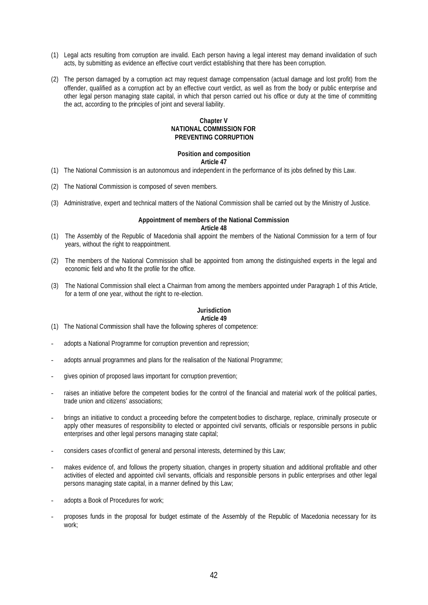- (1) Legal acts resulting from corruption are invalid. Each person having a legal interest may demand invalidation of such acts, by submitting as evidence an effective court verdict establishing that there has been corruption.
- (2) The person damaged by a corruption act may request damage compensation (actual damage and lost profit) from the offender, qualified as a corruption act by an effective court verdict, as well as from the body or public enterprise and other legal person managing state capital, in which that person carried out his office or duty at the time of committing the act, according to the principles of joint and several liability.

## **Chapter V NATIONAL COMMISSION FOR PREVENTING CORRUPTION**

#### **Position and composition Article 47**

- (1) The National Commission is an autonomous and independent in the performance of its jobs defined by this Law.
- (2) The National Commission is composed of seven members.
- (3) Administrative, expert and technical matters of the National Commission shall be carried out by the Ministry of Justice.

#### **Appointment of members of the National Commission Article 48**

- (1) The Assembly of the Republic of Macedonia shall appoint the members of the National Commission for a term of four years, without the right to reappointment.
- (2) The members of the National Commission shall be appointed from among the distinguished experts in the legal and economic field and who fit the profile for the office.
- (3) The National Commission shall elect a Chairman from among the members appointed under Paragraph 1 of this Article, for a term of one year, without the right to re-election.

# **Jurisdiction**

## **Article 49**

- (1) The National Commission shall have the following spheres of competence:
- adopts a National Programme for corruption prevention and repression;
- adopts annual programmes and plans for the realisation of the National Programme;
- gives opinion of proposed laws important for corruption prevention;
- raises an initiative before the competent bodies for the control of the financial and material work of the political parties, trade union and citizens' associations;
- brings an initiative to conduct a proceeding before the competent bodies to discharge, replace, criminally prosecute or apply other measures of responsibility to elected or appointed civil servants, officials or responsible persons in public enterprises and other legal persons managing state capital;
- considers cases of conflict of general and personal interests, determined by this Law;
- makes evidence of, and follows the property situation, changes in property situation and additional profitable and other activities of elected and appointed civil servants, officials and responsible persons in public enterprises and other legal persons managing state capital, in a manner defined by this Law;
- adopts a Book of Procedures for work:
- proposes funds in the proposal for budget estimate of the Assembly of the Republic of Macedonia necessary for its work;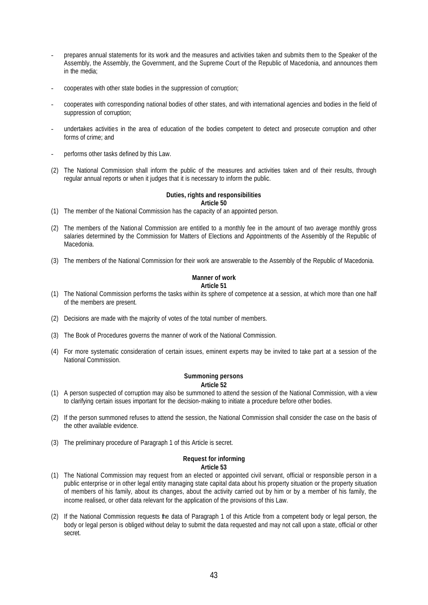- prepares annual statements for its work and the measures and activities taken and submits them to the Speaker of the Assembly, the Assembly, the Government, and the Supreme Court of the Republic of Macedonia, and announces them in the media;
- cooperates with other state bodies in the suppression of corruption;
- cooperates with corresponding national bodies of other states, and with international agencies and bodies in the field of suppression of corruption;
- undertakes activities in the area of education of the bodies competent to detect and prosecute corruption and other forms of crime; and
- performs other tasks defined by this Law.
- (2) The National Commission shall inform the public of the measures and activities taken and of their results, through regular annual reports or when it judges that it is necessary to inform the public.

## **Duties, rights and responsibilities**

#### **Article 50**

- (1) The member of the National Commission has the capacity of an appointed person.
- (2) The members of the National Commission are entitled to a monthly fee in the amount of two average monthly gross salaries determined by the Commission for Matters of Elections and Appointments of the Assembly of the Republic of Macedonia.
- (3) The members of the National Commission for their work are answerable to the Assembly of the Republic of Macedonia.

#### **Manner of work Article 51**

- (1) The National Commission performs the tasks within its sphere of competence at a session, at which more than one half of the members are present.
- (2) Decisions are made with the majority of votes of the total number of members.
- (3) The Book of Procedures governs the manner of work of the National Commission.
- (4) For more systematic consideration of certain issues, eminent experts may be invited to take part at a session of the National Commission.

#### **Summoning persons Article 52**

- (1) A person suspected of corruption may also be summoned to attend the session of the National Commission, with a view to clarifying certain issues important for the decision-making to initiate a procedure before other bodies.
- (2) If the person summoned refuses to attend the session, the National Commission shall consider the case on the basis of the other available evidence.
- (3) The preliminary procedure of Paragraph 1 of this Article is secret.

#### **Request for informing Article 53**

- (1) The National Commission may request from an elected or appointed civil servant, official or responsible person in a public enterprise or in other legal entity managing state capital data about his property situation or the property situation of members of his family, about its changes, about the activity carried out by him or by a member of his family, the income realised, or other data relevant for the application of the provisions of this Law.
- (2) If the National Commission requests the data of Paragraph 1 of this Article from a competent body or legal person, the body or legal person is obliged without delay to submit the data requested and may not call upon a state, official or other secret.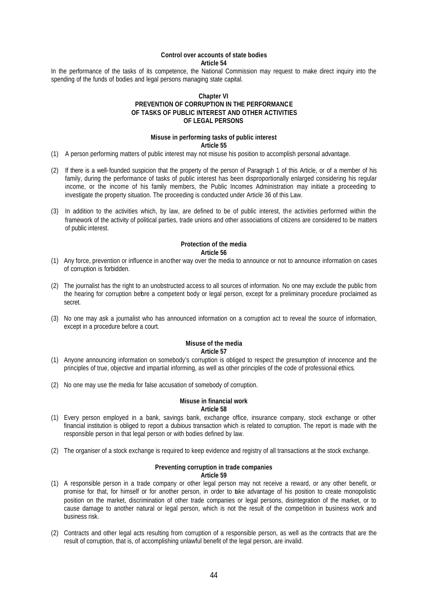## **Control over accounts of state bodies Article 54**

In the performance of the tasks of its competence, the National Commission may request to make direct inquiry into the spending of the funds of bodies and legal persons managing state capital.

## **Chapter VI PREVENTION OF CORRUPTION IN THE PERFORMANCE OF TASKS OF PUBLIC INTEREST AND OTHER ACTIVITIES OF LEGAL PERSONS**

#### **Misuse in performing tasks of public interest Article 55**

- (1) A person performing matters of public interest may not misuse his position to accomplish personal advantage.
- (2) If there is a well-founded suspicion that the property of the person of Paragraph 1 of this Article, or of a member of his family, during the performance of tasks of public interest has been disproportionally enlarged considering his regular income, or the income of his family members, the Public Incomes Administration may initiate a proceeding to investigate the property situation. The proceeding is conducted under Article 36 of this Law.
- (3) In addition to the activities which, by law, are defined to be of public interest, the activities performed within the framework of the activity of political parties, trade unions and other associations of citizens are considered to be matters of public interest.

## **Protection of the media**

#### **Article 56**

- (1) Any force, prevention or influence in another way over the media to announce or not to announce information on cases of corruption is forbidden.
- (2) The journalist has the right to an unobstructed access to all sources of information. No one may exclude the public from the hearing for corruption before a competent body or legal person, except for a preliminary procedure proclaimed as secret.
- (3) No one may ask a journalist who has announced information on a corruption act to reveal the source of information, except in a procedure before a court.

#### **Misuse of the media Article 57**

- (1) Anyone announcing information on somebody's corruption is obliged to respect the presumption of innocence and the principles of true, objective and impartial informing, as well as other principles of the code of professional ethics.
- (2) No one may use the media for false accusation of somebody of corruption.

## **Misuse in financial work Article 58**

- (1) Every person employed in a bank, savings bank, exchange office, insurance company, stock exchange or other financial institution is obliged to report a dubious transaction which is related to corruption. The report is made with the responsible person in that legal person or with bodies defined by law.
- (2) The organiser of a stock exchange is required to keep evidence and registry of all transactions at the stock exchange.

#### **Preventing corruption in trade companies Article 59**

- (1) A responsible person in a trade company or other legal person may not receive a reward, or any other benefit, or promise for that, for himself or for another person, in order to take advantage of his position to create monopolistic position on the market, discrimination of other trade companies or legal persons, disintegration of the market, or to cause damage to another natural or legal person, which is not the result of the competition in business work and business risk.
- (2) Contracts and other legal acts resulting from corruption of a responsible person, as well as the contracts that are the result of corruption, that is, of accomplishing unlawful benefit of the legal person, are invalid.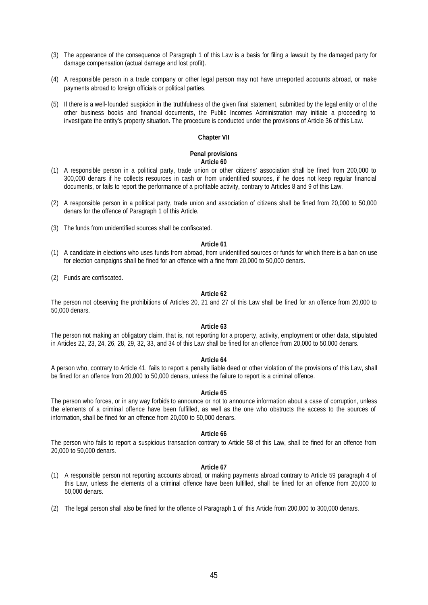- (3) The appearance of the consequence of Paragraph 1 of this Law is a basis for filing a lawsuit by the damaged party for damage compensation (actual damage and lost profit).
- (4) A responsible person in a trade company or other legal person may not have unreported accounts abroad, or make payments abroad to foreign officials or political parties.
- (5) If there is a well-founded suspicion in the truthfulness of the given final statement, submitted by the legal entity or of the other business books and financial documents, the Public Incomes Administration may initiate a proceeding to investigate the entity's property situation. The procedure is conducted under the provisions of Article 36 of this Law.

#### **Chapter VII**

#### **Penal provisions Article 60**

- (1) A responsible person in a political party, trade union or other citizens' association shall be fined from 200,000 to 300,000 denars if he collects resources in cash or from unidentified sources, if he does not keep regular financial documents, or fails to report the performance of a profitable activity, contrary to Articles 8 and 9 of this Law.
- (2) A responsible person in a political party, trade union and association of citizens shall be fined from 20,000 to 50,000 denars for the offence of Paragraph 1 of this Article.
- (3) The funds from unidentified sources shall be confiscated.

## **Article 61**

- (1) A candidate in elections who uses funds from abroad, from unidentified sources or funds for which there is a ban on use for election campaigns shall be fined for an offence with a fine from 20,000 to 50,000 denars.
- (2) Funds are confiscated.

#### **Article 62**

The person not observing the prohibitions of Articles 20, 21 and 27 of this Law shall be fined for an offence from 20,000 to 50,000 denars.

#### **Article 63**

The person not making an obligatory claim, that is, not reporting for a property, activity, employment or other data, stipulated in Articles 22, 23, 24, 26, 28, 29, 32, 33, and 34 of this Law shall be fined for an offence from 20,000 to 50,000 denars.

#### **Article 64**

A person who, contrary to Article 41, fails to report a penalty liable deed or other violation of the provisions of this Law, shall be fined for an offence from 20,000 to 50,000 denars, unless the failure to report is a criminal offence.

#### **Article 65**

The person who forces, or in any way forbids to announce or not to announce information about a case of corruption, unless the elements of a criminal offence have been fulfilled, as well as the one who obstructs the access to the sources of information, shall be fined for an offence from 20,000 to 50,000 denars.

#### **Article 66**

The person who fails to report a suspicious transaction contrary to Article 58 of this Law, shall be fined for an offence from 20,000 to 50,000 denars.

#### **Article 67**

- (1) A responsible person not reporting accounts abroad, or making payments abroad contrary to Article 59 paragraph 4 of this Law, unless the elements of a criminal offence have been fulfilled, shall be fined for an offence from 20,000 to 50,000 denars.
- (2) The legal person shall also be fined for the offence of Paragraph 1 of this Article from 200,000 to 300,000 denars.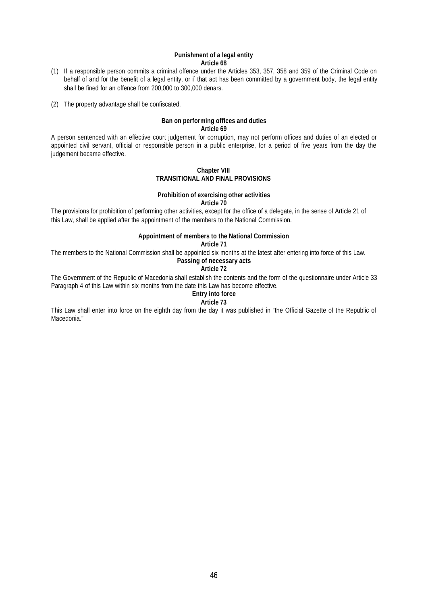## **Punishment of a legal entity Article 68**

- (1) If a responsible person commits a criminal offence under the Articles 353, 357, 358 and 359 of the Criminal Code on behalf of and for the benefit of a legal entity, or if that act has been committed by a government body, the legal entity shall be fined for an offence from 200,000 to 300,000 denars.
- (2) The property advantage shall be confiscated.

#### **Ban on performing offices and duties Article 69**

A person sentenced with an effective court judgement for corruption, may not perform offices and duties of an elected or appointed civil servant, official or responsible person in a public enterprise, for a period of five years from the day the judgement became effective.

## **Chapter VIII TRANSITIONAL AND FINAL PROVISIONS**

## **Prohibition of exercising other activities**

**Article 70**

The provisions for prohibition of performing other activities, except for the office of a delegate, in the sense of Article 21 of this Law, shall be applied after the appointment of the members to the National Commission.

#### **Appointment of members to the National Commission**

**Article 71**

The members to the National Commission shall be appointed six months at the latest after entering into force of this Law.

## **Passing of necessary acts**

**Article 72**

The Government of the Republic of Macedonia shall establish the contents and the form of the questionnaire under Article 33 Paragraph 4 of this Law within six months from the date this Law has become effective.

## **Entry into force**

## **Article 73**

This Law shall enter into force on the eighth day from the day it was published in "the Official Gazette of the Republic of Macedonia."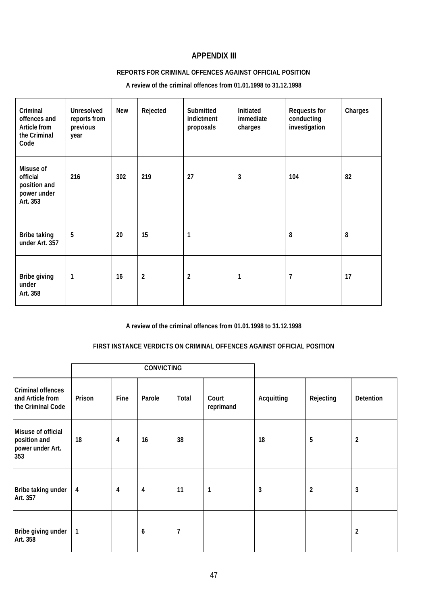# **APPENDIX III**

# **REPORTS FOR CRIMINAL OFFENCES AGAINST OFFICIAL POSITION**

# **A review of the criminal offences from 01.01.1998 to 31.12.1998**

| Criminal<br>offences and<br>Article from<br>the Criminal<br>Code | <b>Unresolved</b><br>reports from<br>previous<br>year | New | Rejected       | Submitted<br>indictment<br>proposals | Initiated<br>immediate<br>charges | <b>Requests for</b><br>conducting<br>investigation | Charges |
|------------------------------------------------------------------|-------------------------------------------------------|-----|----------------|--------------------------------------|-----------------------------------|----------------------------------------------------|---------|
| Misuse of<br>official<br>position and<br>power under<br>Art. 353 | 216                                                   | 302 | 219            | 27                                   | 3                                 | 104                                                | 82      |
| <b>Bribe taking</b><br>under Art. 357                            | 5                                                     | 20  | 15             | 1                                    |                                   | 8                                                  | 8       |
| <b>Bribe giving</b><br>under<br>Art. 358                         | $\mathbf{1}$                                          | 16  | $\overline{2}$ | $\overline{2}$                       |                                   | 7                                                  | 17      |

## **A review of the criminal offences from 01.01.1998 to 31.12.1998**

## **FIRST INSTANCE VERDICTS ON CRIMINAL OFFENCES AGAINST OFFICIAL POSITION**

|                                                                   |                         |      | <b>CONVICTING</b> |       |                    |              |                |                  |
|-------------------------------------------------------------------|-------------------------|------|-------------------|-------|--------------------|--------------|----------------|------------------|
| <b>Criminal offences</b><br>and Article from<br>the Criminal Code | Prison                  | Fine | Parole            | Total | Court<br>reprimand | Acquitting   | Rejecting      | <b>Detention</b> |
| Misuse of official<br>position and<br>power under Art.<br>353     | 18                      | 4    | 16                | 38    |                    | 18           | 5              | $\overline{2}$   |
| Bribe taking under<br>Art. 357                                    | $\overline{\mathbf{4}}$ | 4    | 4                 | 11    | 1                  | $\mathbf{3}$ | $\overline{2}$ | 3                |
| Bribe giving under<br>Art. 358                                    | $\mathbf{1}$            |      | 6                 | 7     |                    |              |                | $\overline{2}$   |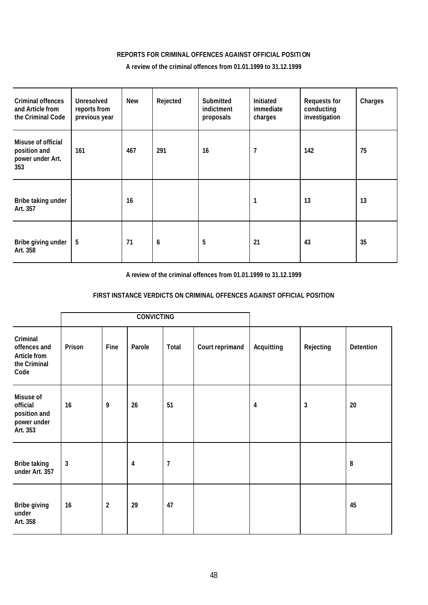# **REPORTS FOR CRIMINAL OFFENCES AGAINST OFFICIAL POSITI ON**

**A review of the criminal offences from 01.01.1999 to 31.12.1999**

| <b>Criminal offences</b><br>and Article from<br>the Criminal Code | <b>Unresolved</b><br>reports from<br>previous year | <b>New</b> | Rejected | <b>Submitted</b><br>indictment<br>proposals | Initiated<br>immediate<br>charges | <b>Requests for</b><br>conducting<br>investigation | Charges |
|-------------------------------------------------------------------|----------------------------------------------------|------------|----------|---------------------------------------------|-----------------------------------|----------------------------------------------------|---------|
| Misuse of official<br>position and<br>power under Art.<br>353     | 161                                                | 467        | 291      | 16                                          | 7                                 | 142                                                | 75      |
| Bribe taking under<br>Art. 357                                    |                                                    | 16         |          |                                             | 1                                 | 13                                                 | 13      |
| Bribe giving under<br>Art. 358                                    | 5                                                  | 71         | 6        | 5                                           | 21                                | 43                                                 | 35      |

## **A review of the criminal offences from 01.01.1999 to 31.12.1999**

## **FIRST INSTANCE VERDICTS ON CRIMINAL OFFENCES AGAINST OFFICIAL POSITION**

|                                                                         |                |                  | <b>CONVICTING</b> |                |                 |                |              |           |
|-------------------------------------------------------------------------|----------------|------------------|-------------------|----------------|-----------------|----------------|--------------|-----------|
| Criminal<br>offences and<br><b>Article from</b><br>the Criminal<br>Code | Prison         | Fine             | Parole            | Total          | Court reprimand | Acquitting     | Rejecting    | Detention |
| Misuse of<br>official<br>position and<br>power under<br>Art. 353        | 16             | 9                | 26                | 51             |                 | $\overline{4}$ | $\mathbf{3}$ | 20        |
| <b>Bribe taking</b><br>under Art. 357                                   | $\overline{3}$ |                  | 4                 | $\overline{1}$ |                 |                |              | 8         |
| <b>Bribe giving</b><br>under<br>Art. 358                                | 16             | $\boldsymbol{2}$ | 29                | 47             |                 |                |              | 45        |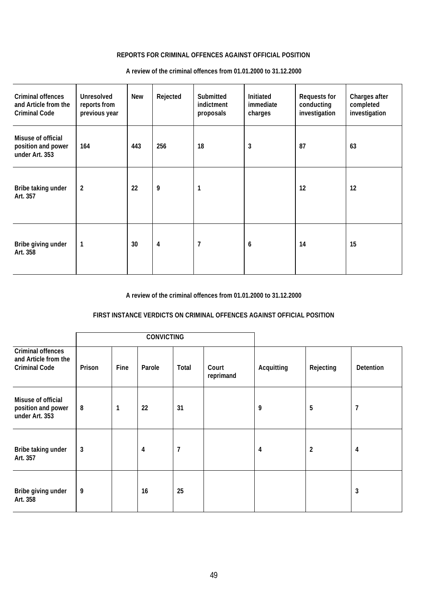## **REPORTS FOR CRIMINAL OFFENCES AGAINST OFFICIAL POSITION**

| <b>Criminal offences</b><br>and Article from the<br><b>Criminal Code</b> | <b>Unresolved</b><br>reports from<br>previous year | New | Rejected | Submitted<br>indictment<br>proposals | Initiated<br>immediate<br>charges | <b>Requests for</b><br>conducting<br>investigation | Charges after<br>completed<br>investigation |
|--------------------------------------------------------------------------|----------------------------------------------------|-----|----------|--------------------------------------|-----------------------------------|----------------------------------------------------|---------------------------------------------|
| Misuse of official<br>position and power<br>under Art. 353               | 164                                                | 443 | 256      | 18                                   | 3                                 | 87                                                 | 63                                          |
| Bribe taking under<br>Art. 357                                           | $\overline{2}$                                     | 22  | 9        |                                      |                                   | 12                                                 | 12                                          |
| Bribe giving under<br>Art. 358                                           | $\mathbf{1}$                                       | 30  | 4        | 7                                    | 6                                 | 14                                                 | 15                                          |

## **A review of the criminal offences from 01.01.2000 to 31.12.2000**

## **A review of the criminal offences from 01.01.2000 to 31.12.2000**

## **FIRST INSTANCE VERDICTS ON CRIMINAL OFFENCES AGAINST OFFICIAL POSITION**

|                                                                          |        |      | <b>CONVICTING</b> |                |                    |            |              |                          |
|--------------------------------------------------------------------------|--------|------|-------------------|----------------|--------------------|------------|--------------|--------------------------|
| <b>Criminal offences</b><br>and Article from the<br><b>Criminal Code</b> | Prison | Fine | Parole            | Total          | Court<br>reprimand | Acquitting | Rejecting    | <b>Detention</b>         |
| Misuse of official<br>position and power<br>under Art. 353               | 8      | 1    | 22                | 31             |                    | 9          | 5            | $\overline{\phantom{a}}$ |
| Bribe taking under<br>Art. 357                                           | 3      |      | 4                 | $\overline{1}$ |                    | 4          | $\mathbf{2}$ | 4                        |
| Bribe giving under<br>Art. 358                                           | 9      |      | 16                | 25             |                    |            |              | 3                        |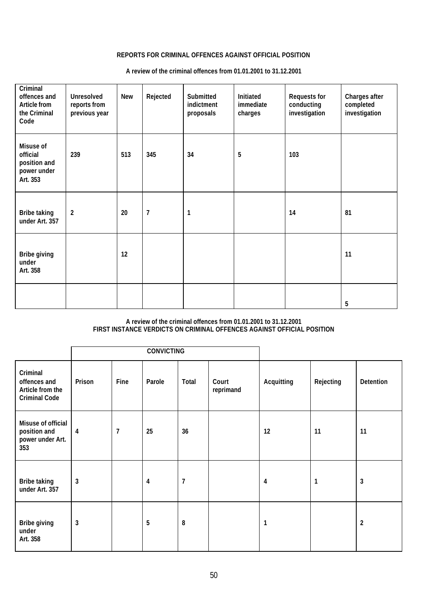# **REPORTS FOR CRIMINAL OFFENCES AGAINST OFFICIAL POSITION**

## **A review of the criminal offences from 01.01.2001 to 31.12.2001**

| Criminal<br>offences and<br>Article from<br>the Criminal<br>Code | <b>Unresolved</b><br>reports from<br>previous year | <b>New</b> | Rejected       | Submitted<br>indictment<br>proposals | Initiated<br>immediate<br>charges | <b>Requests for</b><br>conducting<br>investigation | Charges after<br>completed<br>investigation |
|------------------------------------------------------------------|----------------------------------------------------|------------|----------------|--------------------------------------|-----------------------------------|----------------------------------------------------|---------------------------------------------|
| Misuse of<br>official<br>position and<br>power under<br>Art. 353 | 239                                                | 513        | 345            | 34                                   | 5                                 | 103                                                |                                             |
| <b>Bribe taking</b><br>under Art. 357                            | $\overline{2}$                                     | 20         | $\overline{1}$ | 1                                    |                                   | 14                                                 | 81                                          |
| <b>Bribe giving</b><br>under<br>Art. 358                         |                                                    | 12         |                |                                      |                                   |                                                    | 11                                          |
|                                                                  |                                                    |            |                |                                      |                                   |                                                    | $5\phantom{.0}$                             |

## **A review of the criminal offences from 01.01.2001 to 31.12.2001 FIRST INSTANCE VERDICTS ON CRIMINAL OFFENCES AGAINST OFFICIAL POSITION**

|                                                                      |              |                | <b>CONVICTING</b> |                |                    |            |           |                  |
|----------------------------------------------------------------------|--------------|----------------|-------------------|----------------|--------------------|------------|-----------|------------------|
| Criminal<br>offences and<br>Article from the<br><b>Criminal Code</b> | Prison       | Fine           | Parole            | Total          | Court<br>reprimand | Acquitting | Rejecting | <b>Detention</b> |
| Misuse of official<br>position and<br>power under Art.<br>353        | 4            | $\overline{1}$ | 25                | 36             |                    | 12         | 11        | 11               |
| <b>Bribe taking</b><br>under Art. 357                                | $\mathbf 3$  |                | 4                 | $\overline{1}$ |                    | 4          | 1         | $\mathbf{3}$     |
| <b>Bribe giving</b><br>under<br>Art. 358                             | $\mathbf{3}$ |                | 5                 | 8              |                    | 1          |           | $\overline{2}$   |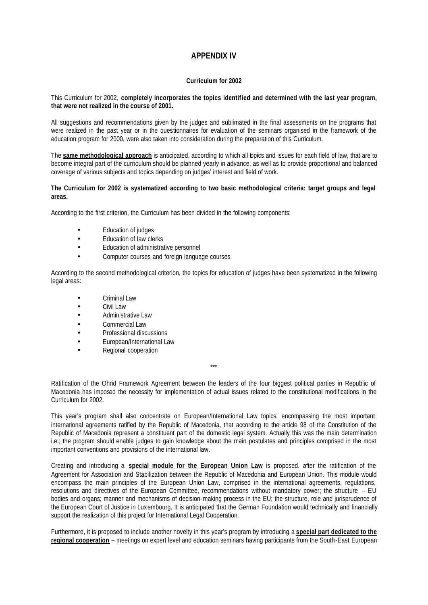# **APPENDIX IV**

## **Curriculum for 2002**

This Curriculum for 2002, **completely incorporates the topics identified and determined with the last year program, that were not realized in the course of 2001.**

All suggestions and recommendations given by the judges and sublimated in the final assessments on the programs that were realized in the past year or in the questionnaires for evaluation of the seminars organised in the framework of the education program for 2000, were also taken into consideration during the preparation of this Curriculum.

The **same methodological approach** is anticipated, according to which all topics and issues for each field of law, that are to become integral part of the curriculum should be planned yearly in advance, as well as to provide proportional and balanced coverage of various subjects and topics depending on judges' interest and field of work.

### **The Curriculum for 2002 is systematized according to two basic methodological criteria: target groups and legal areas.**

According to the first criterion, the Curriculum has been divided in the following components:

- Education of judges
- Education of law clerks
- Education of administrative personnel
- Computer courses and foreign language courses

According to the second methodological criterion, the topics for education of judges have been systematized in the following legal areas:

- Criminal Law
- Civil Law
- Administrative Law
- Commercial Law
- Professional discussions
- European/International Law
- Regional cooperation

\*\*\*

Ratification of the Ohrid Framework Agreement between the leaders of the four biggest political parties in Republic of Macedonia has imposed the necessity for implementation of actual issues related to the constitutional modifications in the Curriculum for 2002.

This year's program shall also concentrate on European/International Law topics, encompassing the most important international agreements ratified by the Republic of Macedonia, that according to the article 98 of the Constitution of the Republic of Macedonia represent a constituent part of the domestic legal system. Actually this was the main determination i.e.; the program should enable judges to gain knowledge about the main postulates and principles comprised in the most important conventions and provisions of the international law.

Creating and introducing a **special module for the European Union Law** is proposed, after the ratification of the Agreement for Association and Stabilization between the Republic of Macedonia and European Union. This module would encompass the main principles of the European Union Law, comprised in the international agreements, regulations, resolutions and directives of the European Committee, recommendations without mandatory power; the structure – EU bodies and organs; manner and mechanisms of decision-making process in the EU; the structure, role and jurisprudence of the European Court of Justice in Luxembourg. It is anticipated that the German Foundation would technically and financially support the realization of this project for International Legal Cooperation.

Furthermore, it is proposed to include another novelty in this year's program by introducing a **special part dedicated to the regional cooperation** – meetings on expert level and education seminars having participants from the South-East European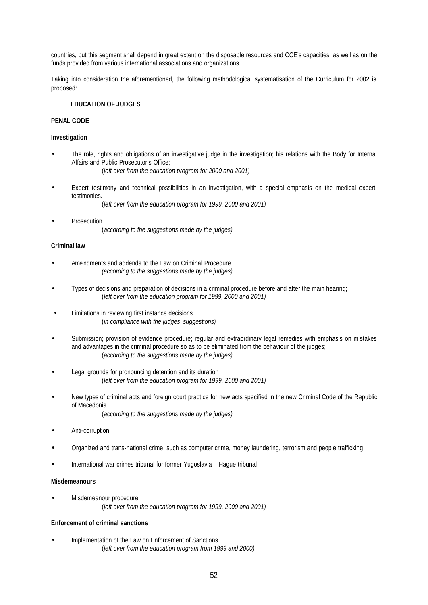countries, but this segment shall depend in great extent on the disposable resources and CCE's capacities, as well as on the funds provided from various international associations and organizations.

Taking into consideration the aforementioned, the following methodological systematisation of the Curriculum for 2002 is proposed:

## I. **EDUCATION OF JUDGES**

## **PENAL CODE**

## **Investigation**

• The role, rights and obligations of an investigative judge in the investigation; his relations with the Body for Internal Affairs and Public Prosecutor's Office;

(*left over from the education program for 2000 and 2001)*

- Expert testimony and technical possibilities in an investigation, with a special emphasis on the medical expert testimonies.
	- (*left over from the education program for 1999, 2000 and 2001)*
- **Prosecution** (*according to the suggestions made by the judges)*

## **Criminal law**

- Amendments and addenda to the Law on Criminal Procedure *(according to the suggestions made by the judges)*
- Types of decisions and preparation of decisions in a criminal procedure before and after the main hearing; (*left over from the education program for 1999, 2000 and 2001)*
- Limitations in reviewing first instance decisions (*in compliance with the judges' suggestions)*
- Submission; provision of evidence procedure; regular and extraordinary legal remedies with emphasis on mistakes and advantages in the criminal procedure so as to be eliminated from the behaviour of the judges; (*according to the suggestions made by the judges)*
- Legal grounds for pronouncing detention and its duration (*left over from the education program for 1999, 2000 and 2001)*
- New types of criminal acts and foreign court practice for new acts specified in the new Criminal Code of the Republic of Macedonia
	- (*according to the suggestions made by the judges)*
- Anti-corruption
- Organized and trans-national crime, such as computer crime, money laundering, terrorism and people trafficking
- International war crimes tribunal for former Yugoslavia Hague tribunal

## **Misdemeanours**

• Misdemeanour procedure (*left over from the education program for 1999, 2000 and 2001)*

## **Enforcement of criminal sanctions**

• Implementation of the Law on Enforcement of Sanctions (*left over from the education program from 1999 and 2000)*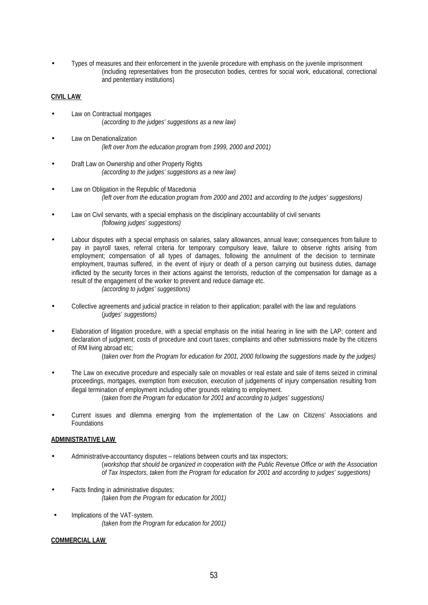• Types of measures and their enforcement in the juvenile procedure with emphasis on the juvenile imprisonment (including representatives from the prosecution bodies, centres for social work, educational, correctional and penitentiary institutions)

## **CIVIL LAW**

- Law on Contractual mortgages (*according to the judges' suggestions as a new law)*
- Law on Denationalization *(left over from the education program from 1999, 2000 and 2001)*
- Draft Law on Ownership and other Property Rights *(according to the judges' suggestions as a new law)*
- Law on Obligation in the Republic of Macedonia *(left over from the education program from 2000 and 2001 and according to the judges' suggestions)*
- Law on Civil servants, with a special emphasis on the disciplinary accountability of civil servants *(following judges' suggestions)*
- Labour disputes with a special emphasis on salaries, salary allowances, annual leave; consequences from failure to pay in payroll taxes, referral criteria for temporary compulsory leave, failure to observe rights arising from employment; compensation of all types of damages, following the annulment of the decision to terminate employment, traumas suffered, in the event of injury or death of a person carrying out business duties, damage inflicted by the security forces in their actions against the terrorists, reduction of the compensation for damage as a result of the engagement of the worker to prevent and reduce damage etc. *(according to judges' suggestions)*
- Collective agreements and judicial practice in relation to their application; parallel with the law and regulations (*judges' suggestions)*
- Elaboration of litigation procedure, with a special emphasis on the initial hearing in line with the LAP; content and declaration of judgment; costs of procedure and court taxes; complaints and other submissions made by the citizens of RM living abroad etc;

(*taken over from the Program for education for 2001, 2000 following the suggestions made by the judges)*

- The Law on executive procedure and especially sale on movables or real estate and sale of items seized in criminal proceedings, mortgages, exemption from execution, execution of judgements of injury compensation resulting from illegal termination of employment including other grounds relating to employment. (*taken from the Program for education for 2001 and according to judges' suggestions)*
- Current issues and dilemma emerging from the implementation of the Law on Citizens' Associations and Foundations

## **ADMINISTRATIVE LAW**

- Administrative-accountancy disputes relations between courts and tax inspectors; (*workshop that should be organized in cooperation with the Public Revenue Office or with the Association of Tax Inspectors, taken from the Program for education for 2001 and according to judges' suggestions)*
- Facts finding in administrative disputes; *(taken from the Program for education for 2001)*
- Implications of the VAT-system. *(taken from the Program for education for 2001)*

## **COMMERCIAL LAW**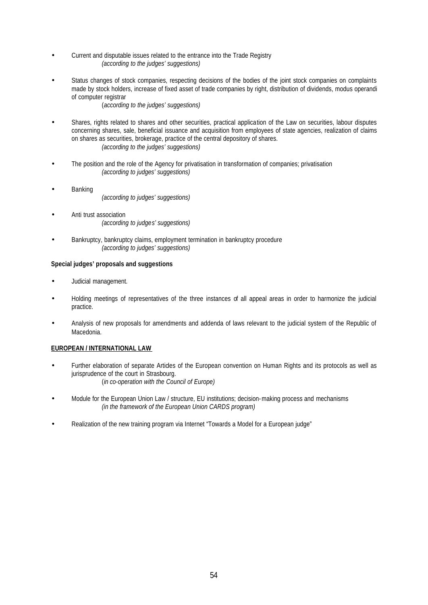- Current and disputable issues related to the entrance into the Trade Registry *(according to the judges' suggestions)*
- Status changes of stock companies, respecting decisions of the bodies of the joint stock companies on complaints made by stock holders, increase of fixed asset of trade companies by right, distribution of dividends, modus operandi of computer registrar
	- (*according to the judges' suggestions)*
- Shares, rights related to shares and other securities, practical application of the Law on securities, labour disputes concerning shares, sale, beneficial issuance and acquisition from employees of state agencies, realization of claims on shares as securities, brokerage, practice of the central depository of shares. *(according to the judges' suggestions)*
- The position and the role of the Agency for privatisation in transformation of companies; privatisation *(according to judges' suggestions)*
- **Banking** *(according to judges' suggestions)*
- Anti trust association *(according to judges' suggestions)*
- Bankruptcy, bankruptcy claims, employment termination in bankruptcy procedure *(according to judges' suggestions)*

## **Special judges' proposals and suggestions**

- Judicial management.
- Holding meetings of representatives of the three instances of all appeal areas in order to harmonize the judicial practice.
- Analysis of new proposals for amendments and addenda of laws relevant to the judicial system of the Republic of Macedonia.

## **EUROPEAN / INTERNATIONAL LAW**

- Further elaboration of separate Artides of the European convention on Human Rights and its protocols as well as jurisprudence of the court in Strasbourg. (*in co-operation with the Council of Europe)*
- Module for the European Union Law / structure, EU institutions; decision-making process and mechanisms *(in the framework of the European Union CARDS program)*
- Realization of the new training program via Internet "Towards a Model for a European judge"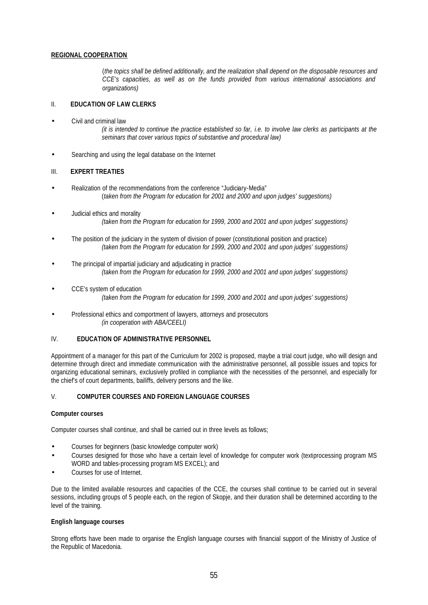## **REGIONAL COOPERATION**

(*the topics shall be defined additionally, and the realization shall depend on the disposable resources and CCE's capacities, as well as on the funds provided from various international associations and organizations)*

## II. **EDUCATION OF LAW CLERKS**

- Civil and criminal law *(it is intended to continue the practice established so far, i.e. to involve law clerks as participants at the seminars that cover various topics of substantive and procedural law)*
- Searching and using the legal database on the Internet

## III. **EXPERT TREATIES**

- Realization of the recommendations from the conference "Judiciary-Media" (*taken from the Program for education for 2001 and 2000 and upon judges' suggestions)*
- Judicial ethics and morality *(taken from the Program for education for 1999, 2000 and 2001 and upon judges' suggestions)*
- The position of the judiciary in the system of division of power (constitutional position and practice) *(taken from the Program for education for 1999, 2000 and 2001 and upon judges' suggestions)*
- The principal of impartial judiciary and adjudicating in practice *(taken from the Program for education for 1999, 2000 and 2001 and upon judges' suggestions)*
- CCE's system of education *(taken from the Program for education for 1999, 2000 and 2001 and upon judges' suggestions)*
- Professional ethics and comportment of lawyers, attorneys and prosecutors *(in cooperation with ABA/CEELI)*

## IV. **EDUCATION OF ADMINISTRATIVE PERSONNEL**

Appointment of a manager for this part of the Curriculum for 2002 is proposed, maybe a trial court judge, who will design and determine through direct and immediate communication with the administrative personnel, all possible issues and topics for organizing educational seminars, exclusively profiled in compliance with the necessities of the personnel, and especially for the chief's of court departments, bailiffs, delivery persons and the like.

## V. **COMPUTER COURSES AND FOREIGN LANGUAGE COURSES**

## **Computer courses**

Computer courses shall continue, and shall be carried out in three levels as follows;

- Courses for beginners (basic knowledge computer work)
- Courses designed for those who have a certain level of knowledge for computer work (textprocessing program MS WORD and tables-processing program MS EXCEL); and
- Courses for use of Internet.

Due to the limited available resources and capacities of the CCE, the courses shall continue to be carried out in several sessions, including groups of 5 people each, on the region of Skopje, and their duration shall be determined according to the level of the training.

## **English language courses**

Strong efforts have been made to organise the English language courses with financial support of the Ministry of Justice of the Republic of Macedonia.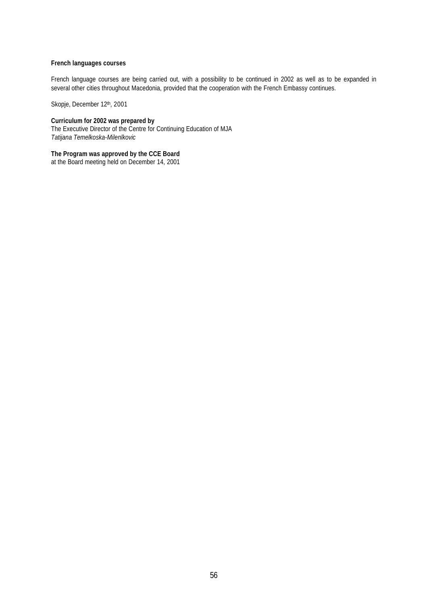## **French languages courses**

French language courses are being carried out, with a possibility to be continued in 2002 as well as to be expanded in several other cities throughout Macedonia, provided that the cooperation with the French Embassy continues.

Skopje, December 12th, 2001

**Curriculum for 2002 was prepared by** The Executive Director of the Centre for Continuing Education of MJA *Tatijana Temelkoska-Milenlkovic*

**The Program was approved by the CCE Board** at the Board meeting held on December 14, 2001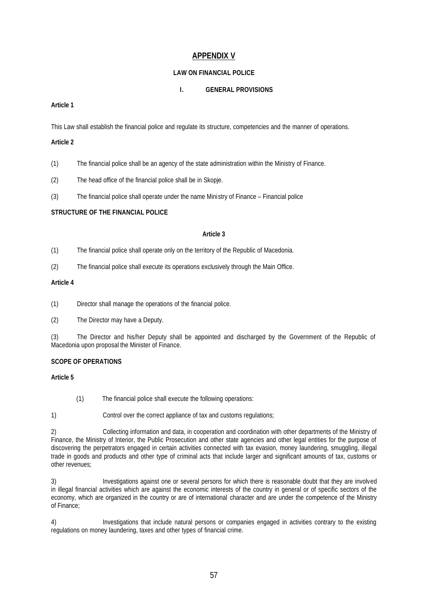# **APPENDIX V**

## **LAW ON FINANCIAL POLICE**

## **I. GENERAL PROVISIONS**

## **Article 1**

This Law shall establish the financial police and regulate its structure, competencies and the manner of operations.

## **Article 2**

- (1) The financial police shall be an agency of the state administration within the Ministry of Finance.
- (2) The head office of the financial police shall be in Skopje.
- (3) The financial police shall operate under the name Ministry of Finance Financial police

## **STRUCTURE OF THE FINANCIAL POLICE**

## **Article 3**

- (1) The financial police shall operate only on the territory of the Republic of Macedonia.
- (2) The financial police shall execute its operations exclusively through the Main Office.

## **Article 4**

- (1) Director shall manage the operations of the financial police.
- (2) The Director may have a Deputy.

(3) The Director and his/her Deputy shall be appointed and discharged by the Government of the Republic of Macedonia upon proposal the Minister of Finance.

## **SCOPE OF OPERATIONS**

## **Article 5**

- (1) The financial police shall execute the following operations:
- 1) Control over the correct appliance of tax and customs regulations;

2) Collecting information and data, in cooperation and coordination with other departments of the Ministry of Finance, the Ministry of Interior, the Public Prosecution and other state agencies and other legal entities for the purpose of discovering the perpetrators engaged in certain activities connected with tax evasion, money laundering, smuggling, illegal trade in goods and products and other type of criminal acts that include larger and significant amounts of tax, customs or other revenues;

3) Investigations against one or several persons for which there is reasonable doubt that they are involved in illegal financial activities which are against the economic interests of the country in general or of specific sectors of the economy, which are organized in the country or are of international character and are under the competence of the Ministry of Finance;

4) Investigations that include natural persons or companies engaged in activities contrary to the existing regulations on money laundering, taxes and other types of financial crime.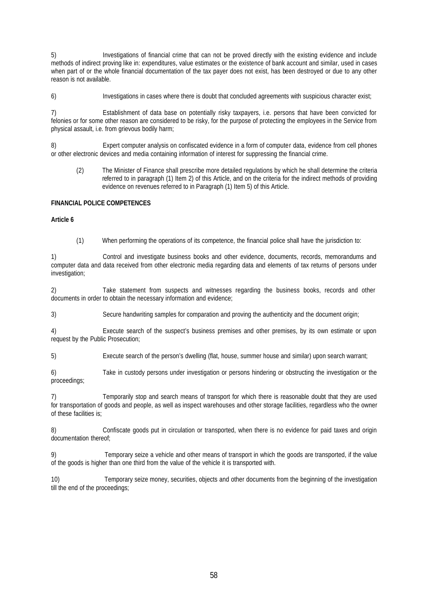5) Investigations of financial crime that can not be proved directly with the existing evidence and include methods of indirect proving like in: expenditures, value estimates or the existence of bank account and similar, used in cases when part of or the whole financial documentation of the tax payer does not exist, has been destroyed or due to any other reason is not available.

6) Investigations in cases where there is doubt that concluded agreements with suspicious character exist;

7) Establishment of data base on potentially risky taxpayers, i.e. persons that have been convicted for felonies or for some other reason are considered to be risky, for the purpose of protecting the employees in the Service from physical assault, i.e. from grievous bodily harm;

8) Expert computer analysis on confiscated evidence in a form of computer data, evidence from cell phones or other electronic devices and media containing information of interest for suppressing the financial crime.

(2) The Minister of Finance shall prescribe more detailed regulations by which he shall determine the criteria referred to in paragraph (1) Item 2) of this Article, and on the criteria for the indirect methods of providing evidence on revenues referred to in Paragraph (1) Item 5) of this Article.

## **FINANCIAL POLICE COMPETENCES**

## **Article 6**

(1) When performing the operations of its competence, the financial police shall have the jurisdiction to:

1) Control and investigate business books and other evidence, documents, records, memorandums and computer data and data received from other electronic media regarding data and elements of tax returns of persons under investigation;

Take statement from suspects and witnesses regarding the business books, records and other documents in order to obtain the necessary information and evidence;

3) Secure handwriting samples for comparation and proving the authenticity and the document origin;

4) Execute search of the suspect's business premises and other premises, by its own estimate or upon request by the Public Prosecution;

5) Execute search of the person's dwelling (flat, house, summer house and similar) upon search warrant;

6) Take in custody persons under investigation or persons hindering or obstructing the investigation or the proceedings;

7) Temporarily stop and search means of transport for which there is reasonable doubt that they are used for transportation of goods and people, as well as inspect warehouses and other storage facilities, regardless who the owner of these facilities is;

8) Confiscate goods put in circulation or transported, when there is no evidence for paid taxes and origin documentation thereof;

9) Temporary seize a vehicle and other means of transport in which the goods are transported, if the value of the goods is higher than one third from the value of the vehicle it is transported with.

10) Temporary seize money, securities, objects and other documents from the beginning of the investigation till the end of the proceedings;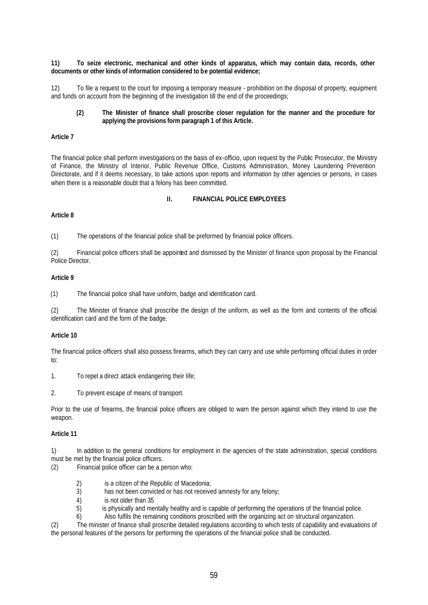## **11) To seize electronic, mechanical and other kinds of apparatus, which may contain data, records, other documents or other kinds of information considered to be potential evidence;**

12) To file a request to the court for imposing a temporary measure - prohibition on the disposal of property, equipment and funds on account from the beginning of the investigation till the end of the proceedings;

#### **(2) The Minister of finance shall proscribe closer regulation for the manner and the procedure for applying the provisions form paragraph 1 of this Article.**

### **Article 7**

The financial police shall perform investigations on the basis of ex-officio, upon request by the Public Prosecutor, the Ministry of Finance, the Ministry of Interior, Public Revenue Office, Customs Administration, Money Laundering Prevention Directorate, and if it deems necessary, to take actions upon reports and information by other agencies or persons, in cases when there is a reasonable doubt that a felony has been committed.

## **II. FINANCIAL POLICE EMPLOYEES**

## **Article 8**

(1) The operations of the financial police shall be preformed by financial police officers.

(2) Financial police officers shall be appointed and dismissed by the Minister of finance upon proposal by the Financial Police Director.

#### **Article 9**

(1) The financial police shall have uniform, badge and identification card.

(2) The Minister of finance shall proscribe the design of the uniform, as well as the form and contents of the official identification card and the form of the badge.

## **Article 10**

The financial police officers shall also possess firearms, which they can carry and use while performing official duties in order to:

1. To repel a direct attack endangering their life;

2. To prevent escape of means of transport.

Prior to the use of firearms, the financial police officers are obliged to warn the person against which they intend to use the weapon.

## **Article 11**

1) In addition to the general conditions for employment in the agencies of the state administration, special conditions must be met by the financial police officers.

(2) Financial police officer can be a person who:

- 2) is a citizen of the Republic of Macedonia;<br>3) has not been convicted or has not receive
- has not been convicted or has not received amnesty for any felony;
- 4) is not older than 35
- 5) is physically and mentally healthy and is capable of performing the operations of the financial police.
- 6) Also fulfils the remaining conditions proscribed with the organizing act on structural organization.

(2) The minister of finance shall proscribe detailed regulations according to which tests of capability and evaluations of the personal features of the persons for performing the operations of the financial police shall be conducted.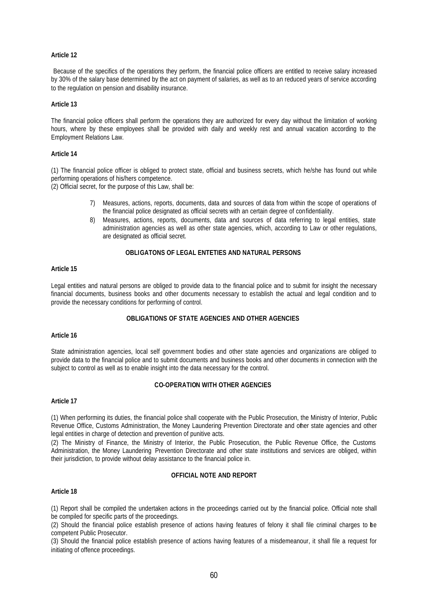## **Article 12**

 Because of the specifics of the operations they perform, the financial police officers are entitled to receive salary increased by 30% of the salary base determined by the act on payment of salaries, as well as to an reduced years of service according to the regulation on pension and disability insurance.

#### **Article 13**

The financial police officers shall perform the operations they are authorized for every day without the limitation of working hours, where by these employees shall be provided with daily and weekly rest and annual vacation according to the Employment Relations Law.

#### **Article 14**

(1) The financial police officer is obliged to protect state, official and business secrets, which he/she has found out while performing operations of his/hers competence.

(2) Official secret, for the purpose of this Law, shall be:

- 7) Measures, actions, reports, documents, data and sources of data from within the scope of operations of the financial police designated as official secrets with an certain degree of confidentiality.
- 8) Measures, actions, reports, documents, data and sources of data referring to legal entities, state administration agencies as well as other state agencies, which, according to Law or other regulations, are designated as official secret.

## **OBLIGATONS OF LEGAL ENTETIES AND NATURAL PERSONS**

#### **Article 15**

Legal entities and natural persons are obliged to provide data to the financial police and to submit for insight the necessary financial documents, business books and other documents necessary to establish the actual and legal condition and to provide the necessary conditions for performing of control.

## **OBLIGATIONS OF STATE AGENCIES AND OTHER AGENCIES**

## **Article 16**

State administration agencies, local self government bodies and other state agencies and organizations are obliged to provide data to the financial police and to submit documents and business books and other documents in connection with the subject to control as well as to enable insight into the data necessary for the control.

## **CO-OPERATION WITH OTHER AGENCIES**

#### **Article 17**

(1) When performing its duties, the financial police shall cooperate with the Public Prosecution, the Ministry of Interior, Public Revenue Office, Customs Administration, the Money Laundering Prevention Directorate and other state agencies and other legal entities in charge of detection and prevention of punitive acts.

(2) The Ministry of Finance, the Ministry of Interior, the Public Prosecution, the Public Revenue Office, the Customs Administration, the Money Laundering Prevention Directorate and other state institutions and services are obliged, within their jurisdiction, to provide without delay assistance to the financial police in.

## **OFFICIAL NOTE AND REPORT**

#### **Article 18**

(1) Report shall be compiled the undertaken actions in the proceedings carried out by the financial police. Official note shall be compiled for specific parts of the proceedings.

(2) Should the financial police establish presence of actions having features of felony it shall file criminal charges to the competent Public Prosecutor.

(3) Should the financial police establish presence of actions having features of a misdemeanour, it shall file a request for initiating of offence proceedings.